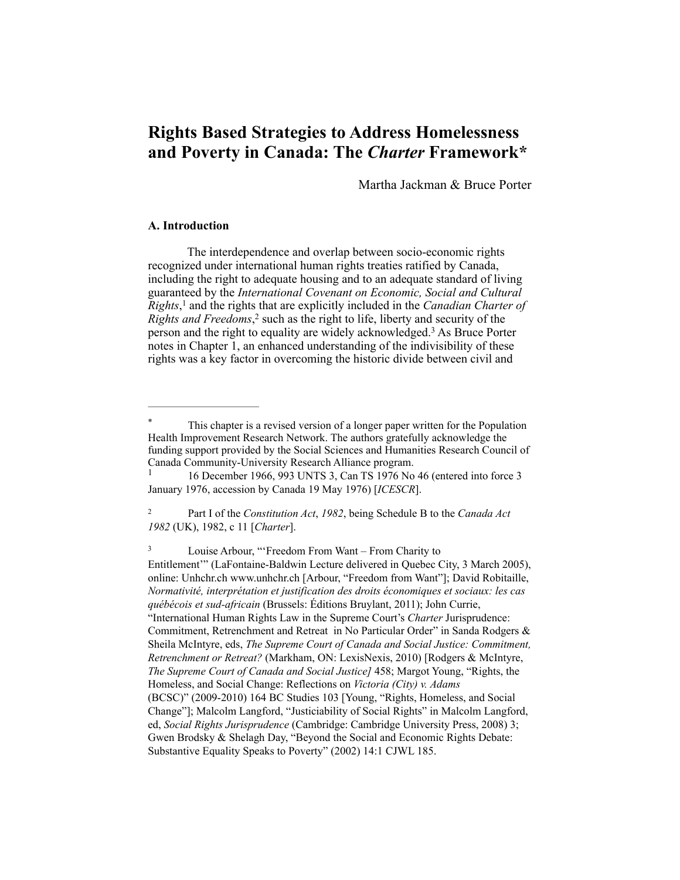# **Rights Based Strategies to Address Homelessness and Poverty in Canada: The** *Charter* **Framework\***

Martha Jackman & Bruce Porter

## **A. Introduction**

The interdependence and overlap between socio-economic rights recognized under international human rights treaties ratified by Canada, including the right to adequate housing and to an adequate standard of living guaranteed by the *International Covenant on Economic, Social and Cultural Rights*,<sup>1</sup> and the rights that are explicitly included in the *Canadian Charter of Rights and Freedoms*<sup>2</sup> such as the right to life, liberty and security of the person and the right to equality are widely acknowledged.<sup>3</sup> As Bruce Porter notes in Chapter 1, an enhanced understanding of the indivisibility of these rights was a key factor in overcoming the historic divide between civil and

<sup>3</sup> Louise Arbour, "'Freedom From Want – From Charity to Entitlement'" (LaFontaine-Baldwin Lecture delivered in Quebec City, 3 March 2005), online: Unhchr.ch www.unhchr.ch [Arbour, "Freedom from Want"]; David Robitaille, *Normativité, interprétation et justification des droits économiques et sociaux: les cas québécois et sud-africain* (Brussels: Éditions Bruylant, 2011); John Currie, "International Human Rights Law in the Supreme Court's *Charter* Jurisprudence: Commitment, Retrenchment and Retreat in No Particular Order" in Sanda Rodgers & Sheila McIntyre, eds, *The Supreme Court of Canada and Social Justice: Commitment, Retrenchment or Retreat?* (Markham, ON: LexisNexis, 2010) [Rodgers & McIntyre, *The Supreme Court of Canada and Social Justice]* 458; Margot Young, "Rights, the Homeless, and Social Change: Reflections on *Victoria (City) v. Adams* (BCSC)" (2009-2010) 164 BC Studies 103 [Young, "Rights, Homeless, and Social Change"]; Malcolm Langford, "Justiciability of Social Rights" in Malcolm Langford, ed, *Social Rights Jurisprudence* (Cambridge: Cambridge University Press, 2008) 3; Gwen Brodsky & Shelagh Day, "Beyond the Social and Economic Rights Debate: Substantive Equality Speaks to Poverty" (2002) 14:1 CJWL 185.

This chapter is a revised version of a longer paper written for the Population Health Improvement Research Network. The authors gratefully acknowledge the funding support provided by the Social Sciences and Humanities Research Council of Canada Community-University Research Alliance program.<br>
<sup>1</sup> 16 December 1966, 993 UNTS <sup>2</sup> Can TS 1976 No.

 <sup>16</sup> December 1966, 993 UNTS 3, Can TS 1976 No 46 (entered into force 3 1 January 1976, accession by Canada 19 May 1976) [*ICESCR*].

Part I of the *Constitution Act*, *1982*, being Schedule B to the *Canada Act* <sup>2</sup> *1982* (UK), 1982, c 11 [*Charter*].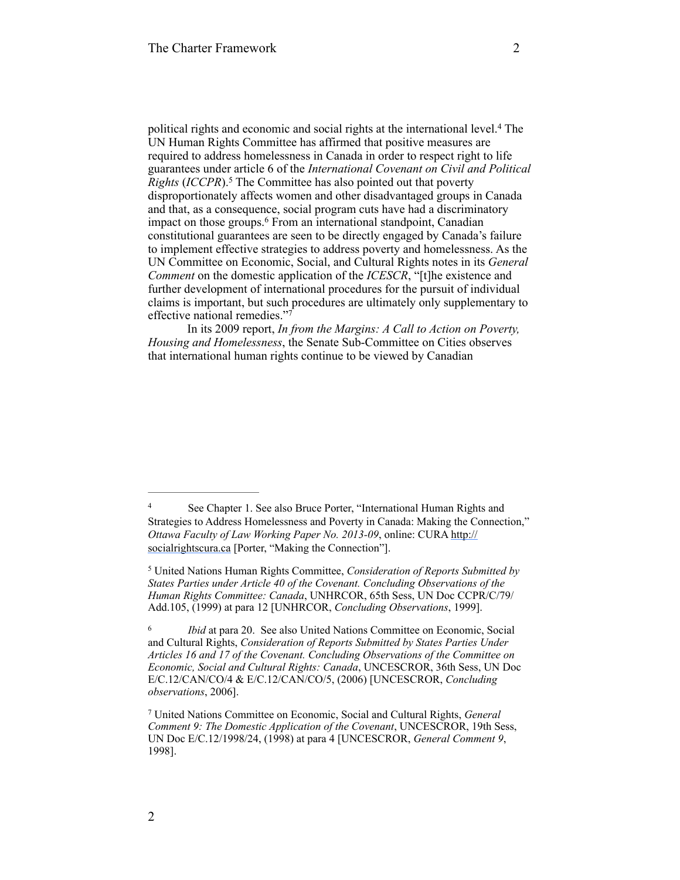political rights and economic and social rights at the international level.<sup>4</sup> The UN Human Rights Committee has affirmed that positive measures are required to address homelessness in Canada in order to respect right to life guarantees under article 6 of the *International Covenant on Civil and Political Rights (ICCPR).*<sup>5</sup> The Committee has also pointed out that poverty disproportionately affects women and other disadvantaged groups in Canada and that, as a consequence, social program cuts have had a discriminatory impact on those groups.<sup>6</sup> From an international standpoint, Canadian constitutional guarantees are seen to be directly engaged by Canada's failure to implement effective strategies to address poverty and homelessness. As the UN Committee on Economic, Social, and Cultural Rights notes in its *General Comment* on the domestic application of the *ICESCR*, "[t]he existence and further development of international procedures for the pursuit of individual claims is important, but such procedures are ultimately only supplementary to effective national remedies."7

In its 2009 report, *In from the Margins: A Call to Action on Poverty, Housing and Homelessness*, the Senate Sub-Committee on Cities observes that international human rights continue to be viewed by Canadian

<sup>&</sup>lt;sup>4</sup> See Chapter 1. See also Bruce Porter, "International Human Rights and Strategies to Address Homelessness and Poverty in Canada: Making the Connection," *Ottawa Faculty of Law Working Paper No. 2013-09*, online: CURA http:// [socialrightscura.ca \[Porter, "Making the Connection"\].](http://socialrightscura.ca/)

United Nations Human Rights Committee, *Consideration of Reports Submitted by* <sup>5</sup> *States Parties under Article 40 of the Covenant. Concluding Observations of the Human Rights Committee: Canada*, UNHRCOR, 65th Sess, UN Doc CCPR/C/79/ Add.105, (1999) at para 12 [UNHRCOR, *Concluding Observations*, 1999].

<sup>&</sup>lt;sup>6</sup> *Ibid* at para 20. See also United Nations Committee on Economic, Social and Cultural Rights, *Consideration of Reports Submitted by States Parties Under Articles 16 and 17 of the Covenant. Concluding Observations of the Committee on Economic, Social and Cultural Rights: Canada*, UNCESCROR, 36th Sess, UN Doc E/C.12/CAN/CO/4 & E/C.12/CAN/CO/5, (2006) [UNCESCROR, *Concluding observations*, 2006].

United Nations Committee on Economic, Social and Cultural Rights, *General* <sup>7</sup> *Comment 9: The Domestic Application of the Covenant*, UNCESCROR, 19th Sess, UN Doc E/C.12/1998/24, (1998) at para 4 [UNCESCROR, *General Comment 9*, 1998].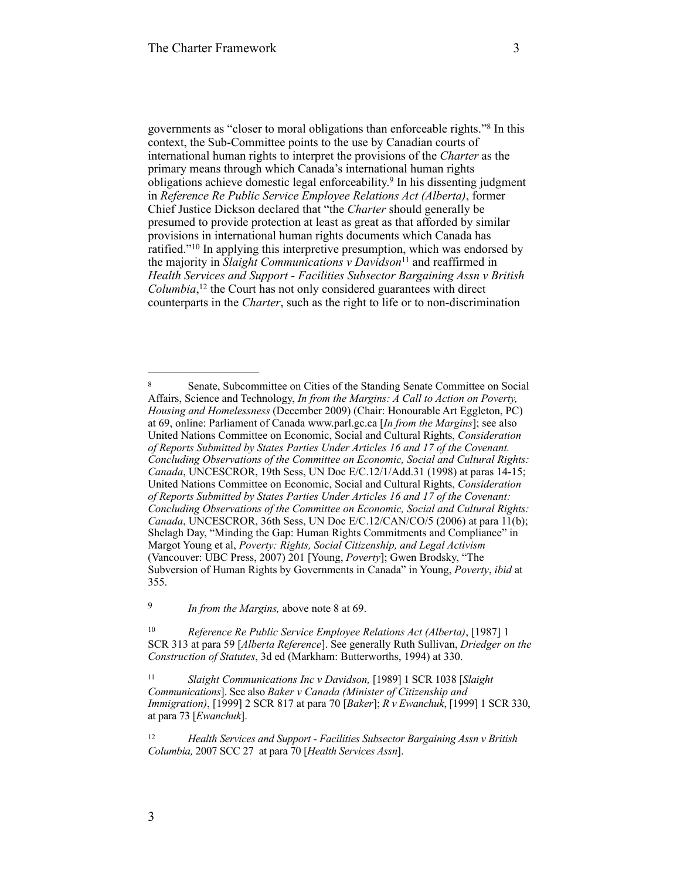governments as "closer to moral obligations than enforceable rights."<sup>8</sup> In this context, the Sub-Committee points to the use by Canadian courts of international human rights to interpret the provisions of the *Charter* as the primary means through which Canada's international human rights obligations achieve domestic legal enforceability.<sup>9</sup> In his dissenting judgment in *Reference Re Public Service Employee Relations Act (Alberta)*, former Chief Justice Dickson declared that "the *Charter* should generally be presumed to provide protection at least as great as that afforded by similar provisions in international human rights documents which Canada has ratified."<sup>10</sup> In applying this interpretive presumption, which was endorsed by the majority in *Slaight Communications v Davidson*<sup>11</sup> and reaffirmed in *Health Services and Support - Facilities Subsector Bargaining Assn v British Columbia*,<sup>12</sup> the Court has not only considered guarantees with direct counterparts in the *Charter*, such as the right to life or to non-discrimination

<sup>&</sup>lt;sup>8</sup> Senate, Subcommittee on Cities of the Standing Senate Committee on Social Affairs, Science and Technology, *In from the Margins: A Call to Action on Poverty, Housing and Homelessness* (December 2009) (Chair: Honourable Art Eggleton, PC) at 69, online: Parliament of Canada [www.parl.gc.ca](http://www.parl.gc.ca) [*In from the Margins*]; see also United Nations Committee on Economic, Social and Cultural Rights, *Consideration of Reports Submitted by States Parties Under Articles 16 and 17 of the Covenant. Concluding Observations of the Committee on Economic, Social and Cultural Rights: Canada*, UNCESCROR, 19th Sess, UN Doc E/C.12/1/Add.31 (1998) at paras 14-15; United Nations Committee on Economic, Social and Cultural Rights, *Consideration of Reports Submitted by States Parties Under Articles 16 and 17 of the Covenant: Concluding Observations of the Committee on Economic, Social and Cultural Rights: Canada*, UNCESCROR, 36th Sess, UN Doc E/C.12/CAN/CO/5 (2006) at para 11(b); Shelagh Day, "Minding the Gap: Human Rights Commitments and Compliance" in Margot Young et al, *Poverty: Rights, Social Citizenship, and Legal Activism* (Vancouver: UBC Press, 2007) 201 [Young, *Poverty*]; Gwen Brodsky, "The Subversion of Human Rights by Governments in Canada" in Young, *Poverty*, *ibid* at 355.

<sup>&</sup>lt;sup>9</sup> *In from the Margins, above note 8 at 69.* 

<sup>&</sup>lt;sup>10</sup> Reference Re Public Service Employee Relations Act (Alberta), [1987] 1 SCR 313 at para 59 [*Alberta Reference*]. See generally Ruth Sullivan, *Driedger on the Construction of Statutes*, 3d ed (Markham: Butterworths, 1994) at 330.

<sup>&</sup>lt;sup>11</sup> Slaight Communications Inc v Davidson, [1989] 1 SCR 1038 [Slaight *Communications*]. See also *Baker v Canada (Minister of Citizenship and Immigration)*, [1999] 2 SCR 817 at para 70 [*Baker*]; *R v Ewanchuk*, [1999] 1 SCR 330, at para 73 [*Ewanchuk*].

<sup>&</sup>lt;sup>12</sup> *Health Services and Support - Facilities Subsector Bargaining Assn v British Columbia,* 2007 SCC 27 at para 70 [*Health Services Assn*].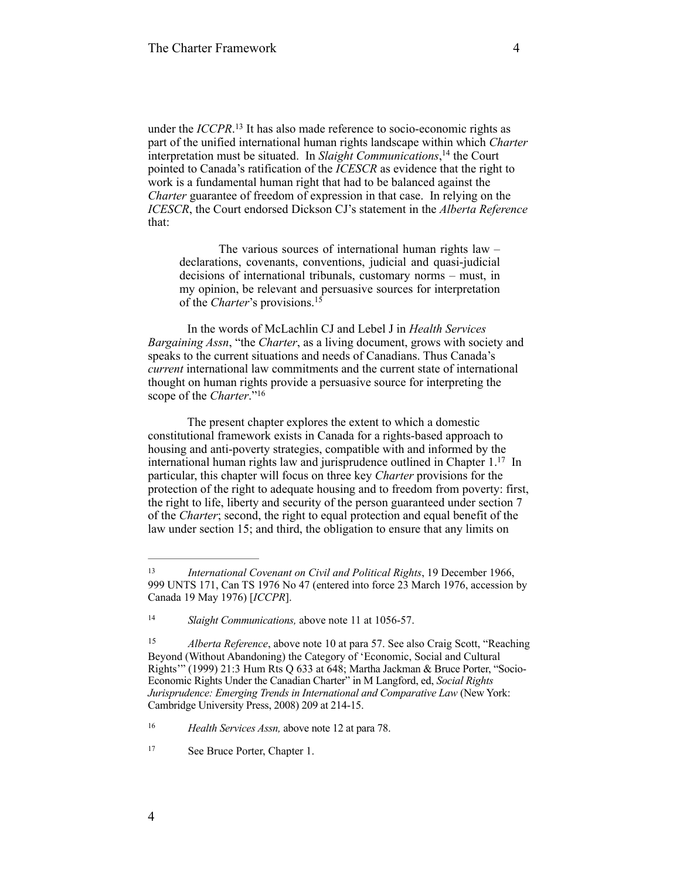under the *ICCPR*.<sup>13</sup> It has also made reference to socio-economic rights as part of the unified international human rights landscape within which *Charter*  interpretation must be situated. In *Slaight Communications*,<sup>14</sup> the Court pointed to Canada's ratification of the *ICESCR* as evidence that the right to work is a fundamental human right that had to be balanced against the *Charter* guarantee of freedom of expression in that case. In relying on the *ICESCR*, the Court endorsed Dickson CJ's statement in the *Alberta Reference* that:

The various sources of international human rights law – declarations, covenants, conventions, judicial and quasi-judicial decisions of international tribunals, customary norms – must, in my opinion, be relevant and persuasive sources for interpretation of the *Charter*'s provisions.15

In the words of McLachlin CJ and Lebel J in *Health Services Bargaining Assn*, "the *Charter*, as a living document, grows with society and speaks to the current situations and needs of Canadians. Thus Canada's *current* international law commitments and the current state of international thought on human rights provide a persuasive source for interpreting the scope of the *Charter*."<sup>16</sup>

The present chapter explores the extent to which a domestic constitutional framework exists in Canada for a rights-based approach to housing and anti-poverty strategies, compatible with and informed by the international human rights law and jurisprudence outlined in Chapter  $1<sup>17</sup>$  In particular, this chapter will focus on three key *Charter* provisions for the protection of the right to adequate housing and to freedom from poverty: first, the right to life, liberty and security of the person guaranteed under section 7 of the *Charter*; second, the right to equal protection and equal benefit of the law under section 15; and third, the obligation to ensure that any limits on

4

*International Covenant on Civil and Political Rights*, 19 December 1966, 13 999 UNTS 171, Can TS 1976 No 47 (entered into force 23 March 1976, accession by Canada 19 May 1976) [*ICCPR*].

<sup>&</sup>lt;sup>14</sup> *Slaight Communications, above note 11 at 1056-57.* 

<sup>&</sup>lt;sup>15</sup> *Alberta Reference*, above note 10 at para 57. See also Craig Scott, "Reaching Beyond (Without Abandoning) the Category of 'Economic, Social and Cultural Rights'" (1999) 21:3 Hum Rts Q 633 at 648; Martha Jackman & Bruce Porter, "Socio-Economic Rights Under the Canadian Charter" in M Langford, ed, *Social Rights Jurisprudence: Emerging Trends in International and Comparative Law* (New York: Cambridge University Press, 2008) 209 at 214-15.

<sup>&</sup>lt;sup>16</sup> *Health Services Assn, above note 12 at para 78.* 

<sup>&</sup>lt;sup>17</sup> See Bruce Porter, Chapter 1.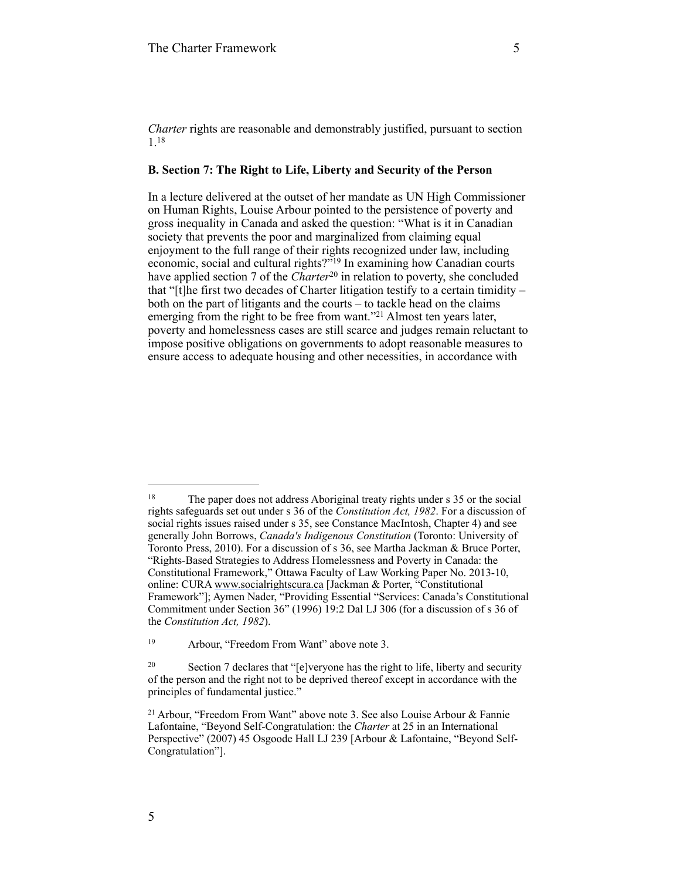*Charter* rights are reasonable and demonstrably justified, pursuant to section 1.18

## **B. Section 7: The Right to Life, Liberty and Security of the Person**

In a lecture delivered at the outset of her mandate as UN High Commissioner on Human Rights, Louise Arbour pointed to the persistence of poverty and gross inequality in Canada and asked the question: "What is it in Canadian society that prevents the poor and marginalized from claiming equal enjoyment to the full range of their rights recognized under law, including economic, social and cultural rights?"<sup>19</sup> In examining how Canadian courts have applied section 7 of the *Charter*<sup>20</sup> in relation to poverty, she concluded that "[t]he first two decades of Charter litigation testify to a certain timidity – both on the part of litigants and the courts – to tackle head on the claims emerging from the right to be free from want."<sup>21</sup> Almost ten years later, poverty and homelessness cases are still scarce and judges remain reluctant to impose positive obligations on governments to adopt reasonable measures to ensure access to adequate housing and other necessities, in accordance with

<sup>&</sup>lt;sup>18</sup> The paper does not address Aboriginal treaty rights under s 35 or the social rights safeguards set out under s 36 of the *Constitution Act, 1982*. For a discussion of social rights issues raised under s 35, see Constance MacIntosh, Chapter 4) and see generally John Borrows, *Canada's Indigenous Constitution* (Toronto: University of Toronto Press, 2010). For a discussion of s 36, see Martha Jackman & Bruce Porter, "Rights-Based Strategies to Address Homelessness and Poverty in Canada: the Constitutional Framework," Ottawa Faculty of Law Working Paper No. 2013-10, online: CURA [www.socialrightscura.ca](http://www.socialrightscura.ca/) [Jackman & Porter, "Constitutional Framework"]; Aymen Nader, "Providing Essential "Services: Canada's Constitutional Commitment under Section 36" (1996) 19:2 Dal LJ 306 (for a discussion of s 36 of the *Constitution Act, 1982*).

<sup>&</sup>lt;sup>19</sup> Arbour, "Freedom From Want" above note 3.

<sup>&</sup>lt;sup>20</sup> Section 7 declares that "[e]veryone has the right to life, liberty and security of the person and the right not to be deprived thereof except in accordance with the principles of fundamental justice."

<sup>&</sup>lt;sup>21</sup> Arbour, "Freedom From Want" above note 3. See also Louise Arbour & Fannie Lafontaine, "Beyond Self-Congratulation: the *Charter* at 25 in an International Perspective" (2007) 45 Osgoode Hall LJ 239 [Arbour & Lafontaine, "Beyond Self-Congratulation"].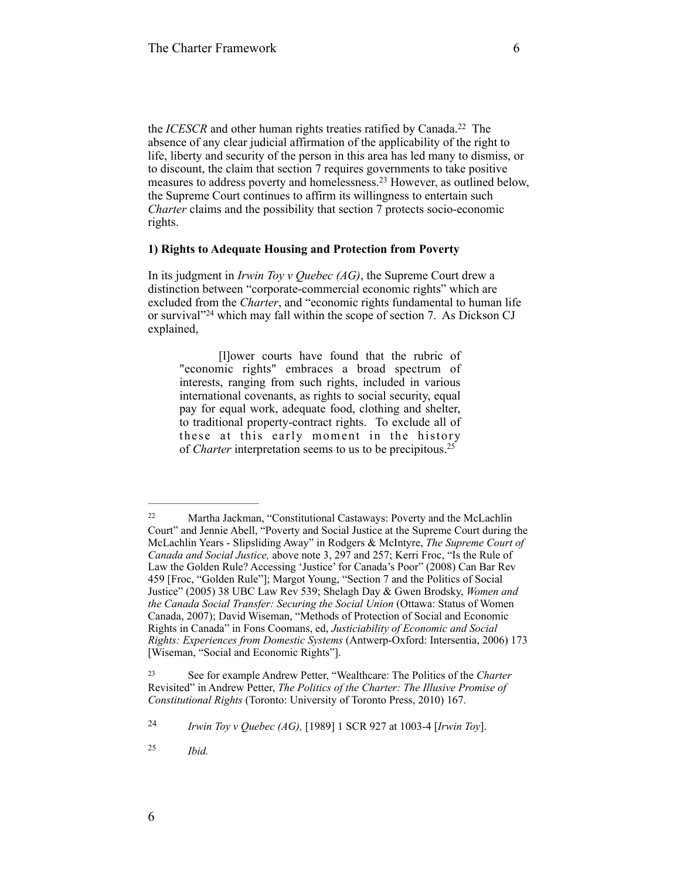the *ICESCR* and other human rights treaties ratified by Canada.<sup>22</sup> The absence of any clear judicial affirmation of the applicability of the right to life, liberty and security of the person in this area has led many to dismiss, or to discount, the claim that section 7 requires governments to take positive measures to address poverty and homelessness.<sup>23</sup> However, as outlined below, the Supreme Court continues to affirm its willingness to entertain such *Charter* claims and the possibility that section 7 protects socio-economic rights.

#### **1) Rights to Adequate Housing and Protection from Poverty**

In its judgment in *Irwin Toy v Quebec (AG)*, the Supreme Court drew a distinction between "corporate-commercial economic rights" which are excluded from the *Charter*, and "economic rights fundamental to human life or survival" $24$  which may fall within the scope of section 7. As Dickson CJ explained,

[l]ower courts have found that the rubric of "economic rights" embraces a broad spectrum of interests, ranging from such rights, included in various international covenants, as rights to social security, equal pay for equal work, adequate food, clothing and shelter, to traditional property-contract rights. To exclude all of these at this early moment in the history of *Charter* interpretation seems to us to be precipitous.25

<sup>&</sup>lt;sup>22</sup> Martha Jackman, "Constitutional Castaways: Poverty and the McLachlin Court" and Jennie Abell, "Poverty and Social Justice at the Supreme Court during the McLachlin Years - Slipsliding Away" in Rodgers & McIntyre, *The Supreme Court of Canada and Social Justice,* above note 3, 297 and 257; Kerri Froc, "Is the Rule of Law the Golden Rule? Accessing 'Justice' for Canada's Poor" (2008) Can Bar Rev 459 [Froc, "Golden Rule"]; Margot Young, "Section 7 and the Politics of Social Justice" (2005) 38 UBC Law Rev 539; Shelagh Day & Gwen Brodsky, *Women and the Canada Social Transfer: Securing the Social Union* (Ottawa: Status of Women Canada, 2007); David Wiseman, "Methods of Protection of Social and Economic Rights in Canada" in Fons Coomans, ed, *Justiciability of Economic and Social Rights: Experiences from Domestic Systems* (Antwerp-Oxford: Intersentia, 2006) 173 [Wiseman, "Social and Economic Rights"].

See for example Andrew Petter, "Wealthcare: The Politics of the *Charter* <sup>23</sup> Revisited" in Andrew Petter, *The Politics of the Charter: The Illusive Promise of Constitutional Rights* (Toronto: University of Toronto Press, 2010) 167.

*Irwin Toy v Quebec (AG),* [1989] 1 SCR 927 at 1003-4 [*Irwin Toy*]. 24

*Ibid.* <sup>25</sup>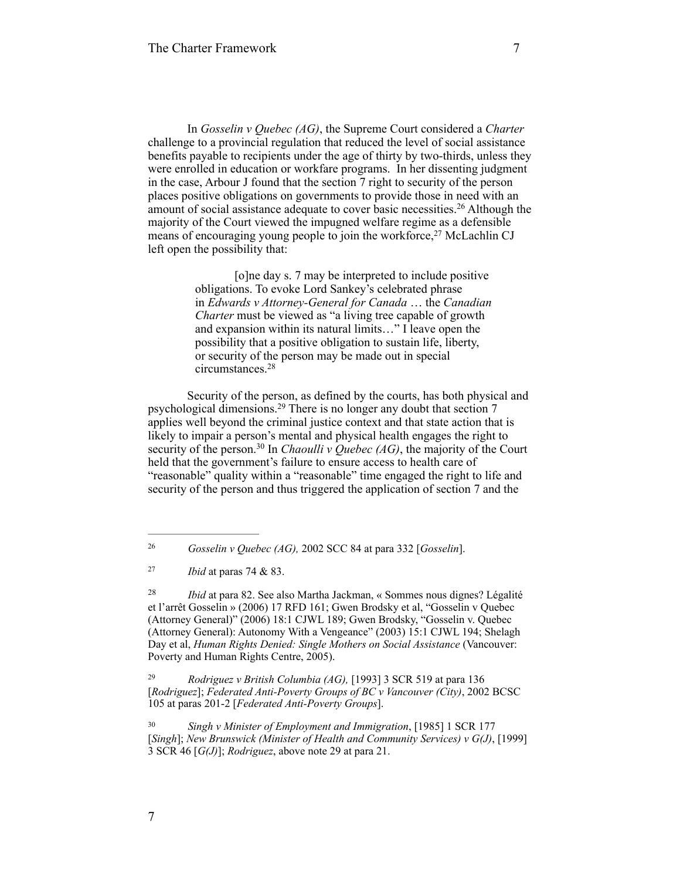In *Gosselin v Quebec (AG)*, the Supreme Court considered a *Charter* challenge to a provincial regulation that reduced the level of social assistance benefits payable to recipients under the age of thirty by two-thirds, unless they were enrolled in education or workfare programs. In her dissenting judgment in the case, Arbour J found that the section 7 right to security of the person places positive obligations on governments to provide those in need with an amount of social assistance adequate to cover basic necessities.<sup>26</sup> Although the majority of the Court viewed the impugned welfare regime as a defensible means of encouraging young people to join the workforce, $27$  McLachlin CJ left open the possibility that:

> [o]ne day s. 7 may be interpreted to include positive obligations. To evoke Lord Sankey's celebrated phrase in *Edwards v Attorney-General for Canada* … the *Canadian Charter* must be viewed as "a living tree capable of growth and expansion within its natural limits…" I leave open the possibility that a positive obligation to sustain life, liberty, or security of the person may be made out in special circumstances.28

Security of the person, as defined by the courts, has both physical and psychological dimensions.<sup>29</sup> There is no longer any doubt that section  $7$ applies well beyond the criminal justice context and that state action that is likely to impair a person's mental and physical health engages the right to security of the person.<sup>30</sup> In *Chaoulli v Quebec (AG)*, the majority of the Court held that the government's failure to ensure access to health care of "reasonable" quality within a "reasonable" time engaged the right to life and security of the person and thus triggered the application of section 7 and the

 *Rodriguez v British Columbia (AG),* [1993] 3 SCR 519 at para 136 29 [*Rodriguez*]; *Federated Anti-Poverty Groups of BC v Vancouver (City)*, 2002 BCSC 105 at paras 201-2 [*Federated Anti-Poverty Groups*].

 *Singh v Minister of Employment and Immigration*, [1985] 1 SCR 177 30 [*Singh*]; *New Brunswick (Minister of Health and Community Services) v G(J)*, [1999] 3 SCR 46 [*G(J)*]; *Rodriguez*, above note 29 at para 21.

*Gosselin v Quebec (AG),* 2002 SCC 84 at para 332 [*Gosselin*]. <sup>26</sup>

*Ibid* at paras 74 & 83. <sup>27</sup>

<sup>&</sup>lt;sup>28</sup> *Ibid* at para 82. See also Martha Jackman, « Sommes nous dignes? Légalité et l'arrêt Gosselin » (2006) 17 RFD 161; Gwen Brodsky et al, "Gosselin v Quebec (Attorney General)" (2006) 18:1 CJWL 189; Gwen Brodsky, "Gosselin v. Quebec (Attorney General): Autonomy With a Vengeance" (2003) 15:1 CJWL 194; Shelagh Day et al, *Human Rights Denied: Single Mothers on Social Assistance* (Vancouver: Poverty and Human Rights Centre, 2005).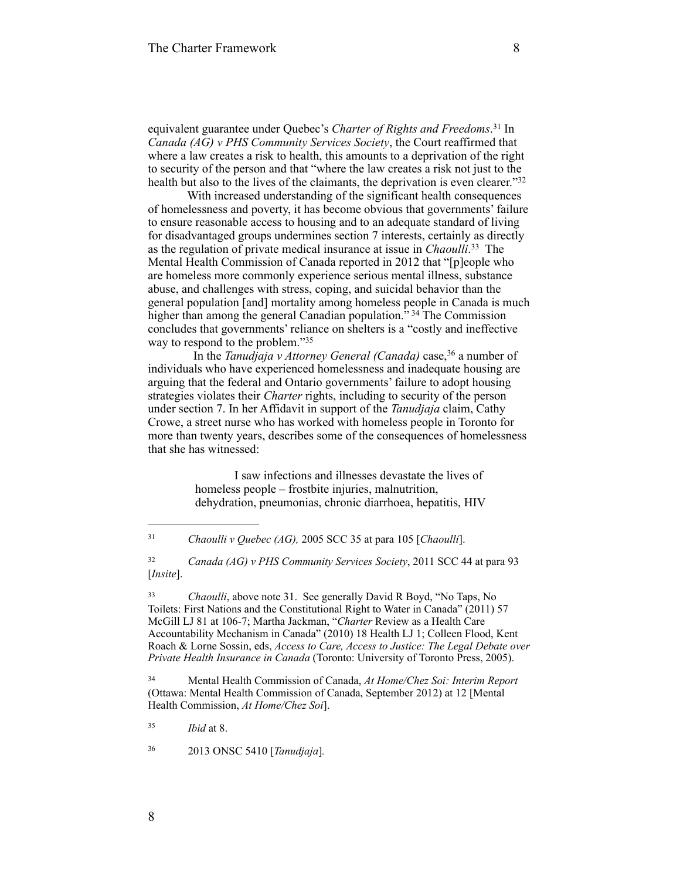equivalent guarantee under Quebec's *Charter of Rights and Freedoms*.<sup>31</sup> In *Canada (AG) v PHS Community Services Society*, the Court reaffirmed that where a law creates a risk to health, this amounts to a deprivation of the right to security of the person and that "where the law creates a risk not just to the health but also to the lives of the claimants, the deprivation is even clearer."32

With increased understanding of the significant health consequences of homelessness and poverty, it has become obvious that governments' failure to ensure reasonable access to housing and to an adequate standard of living for disadvantaged groups undermines section 7 interests, certainly as directly as the regulation of private medical insurance at issue in *Chaoulli*.<sup>33</sup> The Mental Health Commission of Canada reported in 2012 that "[p]eople who are homeless more commonly experience serious mental illness, substance abuse, and challenges with stress, coping, and suicidal behavior than the general population [and] mortality among homeless people in Canada is much higher than among the general Canadian population.<sup>5, 34</sup> The Commission concludes that governments' reliance on shelters is a "costly and ineffective way to respond to the problem."35

In the *Tanudjaja v Attorney General (Canada)* case,<sup>36</sup> a number of individuals who have experienced homelessness and inadequate housing are arguing that the federal and Ontario governments' failure to adopt housing strategies violates their *Charter* rights, including to security of the person under section 7. In her Affidavit in support of the *Tanudjaja* claim, Cathy Crowe, a street nurse who has worked with homeless people in Toronto for more than twenty years, describes some of the consequences of homelessness that she has witnessed:

> I saw infections and illnesses devastate the lives of homeless people – frostbite injuries, malnutrition, dehydration, pneumonias, chronic diarrhoea, hepatitis, HIV

 *Canada (AG) v PHS Community Services Society*, 2011 SCC 44 at para 93 32 [*Insite*].

<sup>33</sup> *Chaoulli*, above note 31. See generally David R Boyd, "No Taps, No Toilets: First Nations and the Constitutional Right to Water in Canada" (2011) 57 McGill LJ 81 at 106-7; Martha Jackman, "*Charter* Review as a Health Care Accountability Mechanism in Canada" (2010) 18 Health LJ 1; Colleen Flood, Kent Roach & Lorne Sossin, eds, *Access to Care, Access to Justice: The Legal Debate over Private Health Insurance in Canada* (Toronto: University of Toronto Press, 2005).

 Mental Health Commission of Canada, *At Home/Chez Soi: Interim Report* <sup>34</sup> (Ottawa: Mental Health Commission of Canada, September 2012) at 12 [Mental Health Commission, *At Home/Chez Soi*].

*Ibid* at 8. <sup>35</sup>

2013 ONSC 5410 [*Tanudjaja*]*.* <sup>36</sup>

*Chaoulli v Quebec (AG),* 2005 SCC 35 at para 105 [*Chaoulli*]. <sup>31</sup>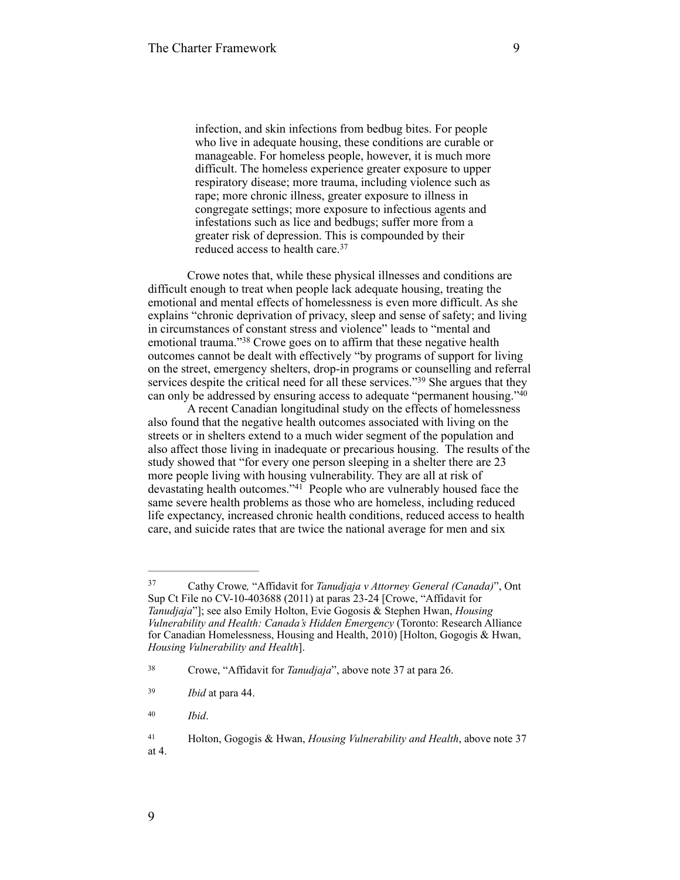infection, and skin infections from bedbug bites. For people who live in adequate housing, these conditions are curable or manageable. For homeless people, however, it is much more difficult. The homeless experience greater exposure to upper respiratory disease; more trauma, including violence such as rape; more chronic illness, greater exposure to illness in congregate settings; more exposure to infectious agents and infestations such as lice and bedbugs; suffer more from a greater risk of depression. This is compounded by their reduced access to health care. 37

Crowe notes that, while these physical illnesses and conditions are difficult enough to treat when people lack adequate housing, treating the emotional and mental effects of homelessness is even more difficult. As she explains "chronic deprivation of privacy, sleep and sense of safety; and living in circumstances of constant stress and violence" leads to "mental and emotional trauma."<sup>38</sup> Crowe goes on to affirm that these negative health outcomes cannot be dealt with effectively "by programs of support for living on the street, emergency shelters, drop-in programs or counselling and referral services despite the critical need for all these services."<sup>39</sup> She argues that they can only be addressed by ensuring access to adequate "permanent housing." <sup>40</sup>

A recent Canadian longitudinal study on the effects of homelessness also found that the negative health outcomes associated with living on the streets or in shelters extend to a much wider segment of the population and also affect those living in inadequate or precarious housing. The results of the study showed that "for every one person sleeping in a shelter there are 23 more people living with housing vulnerability. They are all at risk of devastating health outcomes."<sup>41</sup> People who are vulnerably housed face the same severe health problems as those who are homeless, including reduced life expectancy, increased chronic health conditions, reduced access to health care, and suicide rates that are twice the national average for men and six

Cathy Crowe*,* "Affidavit for *Tanudjaja v Attorney General (Canada)*", Ont 37 Sup Ct File no CV-10-403688 (2011) at paras 23-24 [Crowe, "Affidavit for *Tanudjaja*"]; see also Emily Holton, Evie Gogosis & Stephen Hwan, *Housing Vulnerability and Health: Canada's Hidden Emergency* (Toronto: Research Alliance for Canadian Homelessness, Housing and Health, 2010) [Holton, Gogogis & Hwan, *Housing Vulnerability and Health*].

<sup>&</sup>lt;sup>38</sup> Crowe, "Affidavit for *Tanudjaja*", above note 37 at para 26.

*Ibid* at para 44. <sup>39</sup>

*Ibid*. <sup>40</sup>

Holton, Gogogis & Hwan, *Housing Vulnerability and Health*, above note 37 41 at 4.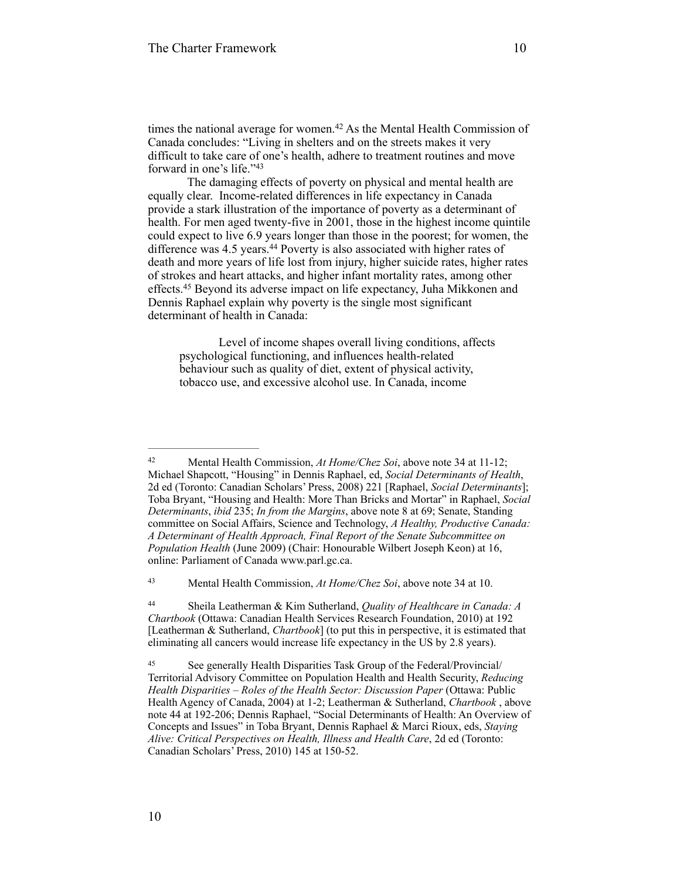times the national average for women.<sup>42</sup> As the Mental Health Commission of Canada concludes: "Living in shelters and on the streets makes it very difficult to take care of one's health, adhere to treatment routines and move forward in one's life."43

The damaging effects of poverty on physical and mental health are equally clear. Income-related differences in life expectancy in Canada provide a stark illustration of the importance of poverty as a determinant of health. For men aged twenty-five in 2001, those in the highest income quintile could expect to live 6.9 years longer than those in the poorest; for women, the difference was  $4.5$  years.<sup>44</sup> Poverty is also associated with higher rates of death and more years of life lost from injury, higher suicide rates, higher rates of strokes and heart attacks, and higher infant mortality rates, among other effects.<sup>45</sup> Beyond its adverse impact on life expectancy, Juha Mikkonen and Dennis Raphael explain why poverty is the single most significant determinant of health in Canada:

Level of income shapes overall living conditions, affects psychological functioning, and influences health-related behaviour such as quality of diet, extent of physical activity, tobacco use, and excessive alcohol use. In Canada, income

Mental Health Commission, *At Home/Chez Soi*, above note 34 at 10. <sup>43</sup>

 Sheila Leatherman & Kim Sutherland, *Quality of Healthcare in Canada: A* <sup>44</sup> *Chartbook* (Ottawa: Canadian Health Services Research Foundation, 2010) at 192 [Leatherman & Sutherland, *Chartbook*] (to put this in perspective, it is estimated that eliminating all cancers would increase life expectancy in the US by 2.8 years).

<sup>&</sup>lt;sup>42</sup> Mental Health Commission, *At Home/Chez Soi*, above note 34 at 11-12; Michael Shapcott, "Housing" in Dennis Raphael, ed, *Social Determinants of Health*, 2d ed (Toronto: Canadian Scholars' Press, 2008) 221 [Raphael, *Social Determinants*]; Toba Bryant, "Housing and Health: More Than Bricks and Mortar" in Raphael, *Social Determinants*, *ibid* 235; *In from the Margins*, above note 8 at 69; Senate, Standing committee on Social Affairs, Science and Technology, *A Healthy, Productive Canada: A Determinant of Health Approach, Final Report of the Senate Subcommittee on Population Health* (June 2009) (Chair: Honourable Wilbert Joseph Keon) at 16, online: Parliament of Canada [www.parl.gc.ca](http://www.parl.gc.ca).

See generally Health Disparities Task Group of the Federal/Provincial/ <sup>45</sup> Territorial Advisory Committee on Population Health and Health Security, *Reducing Health Disparities – Roles of the Health Sector: Discussion Paper* (Ottawa: Public Health Agency of Canada, 2004) at 1-2; Leatherman & Sutherland, *Chartbook* , above note 44 at 192-206; Dennis Raphael, "Social Determinants of Health: An Overview of Concepts and Issues" in Toba Bryant, Dennis Raphael & Marci Rioux, eds, *Staying Alive: Critical Perspectives on Health, Illness and Health Care*, 2d ed (Toronto: Canadian Scholars' Press, 2010) 145 at 150-52.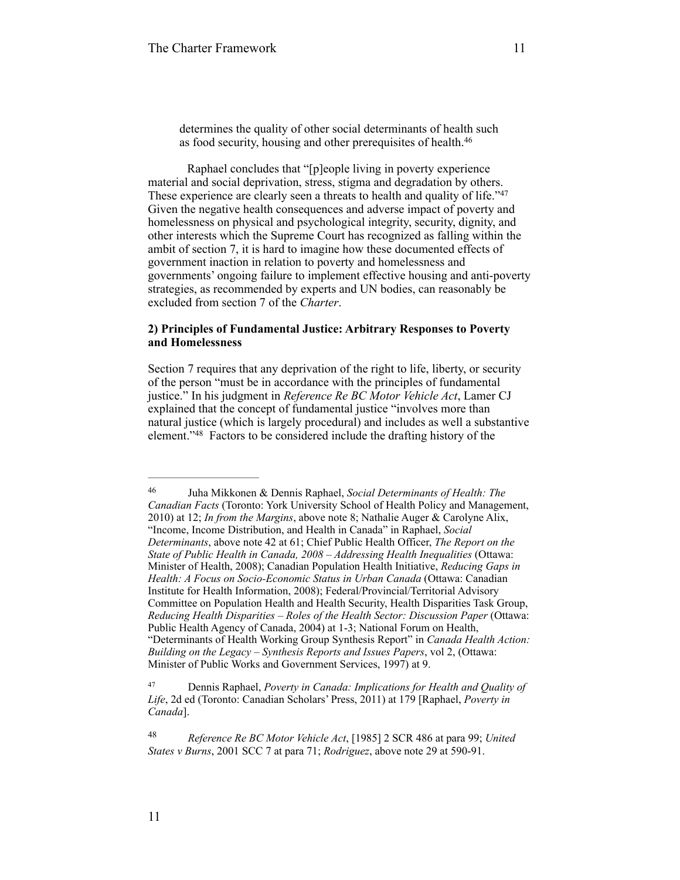determines the quality of other social determinants of health such as food security, housing and other prerequisites of health.46

Raphael concludes that "[p]eople living in poverty experience material and social deprivation, stress, stigma and degradation by others. These experience are clearly seen a threats to health and quality of life."47 Given the negative health consequences and adverse impact of poverty and homelessness on physical and psychological integrity, security, dignity, and other interests which the Supreme Court has recognized as falling within the ambit of section 7, it is hard to imagine how these documented effects of government inaction in relation to poverty and homelessness and governments' ongoing failure to implement effective housing and anti-poverty strategies, as recommended by experts and UN bodies, can reasonably be excluded from section 7 of the *Charter*.

## **2) Principles of Fundamental Justice: Arbitrary Responses to Poverty and Homelessness**

Section 7 requires that any deprivation of the right to life, liberty, or security of the person "must be in accordance with the principles of fundamental justice." In his judgment in *Reference Re BC Motor Vehicle Act*, Lamer CJ explained that the concept of fundamental justice "involves more than natural justice (which is largely procedural) and includes as well a substantive element."<sup>48</sup> Factors to be considered include the drafting history of the

Juha Mikkonen & Dennis Raphael, *Social Determinants of Health: The* <sup>46</sup> *Canadian Facts* (Toronto: York University School of Health Policy and Management, 2010) at 12; *In from the Margins*, above note 8; Nathalie Auger & Carolyne Alix, "Income, Income Distribution, and Health in Canada" in Raphael, *Social Determinants*, above note 42 at 61; Chief Public Health Officer, *The Report on the State of Public Health in Canada, 2008 – Addressing Health Inequalities* (Ottawa: Minister of Health, 2008); Canadian Population Health Initiative, *Reducing Gaps in Health: A Focus on Socio-Economic Status in Urban Canada* (Ottawa: Canadian Institute for Health Information, 2008); Federal/Provincial/Territorial Advisory Committee on Population Health and Health Security, Health Disparities Task Group, *Reducing Health Disparities – Roles of the Health Sector: Discussion Paper* (Ottawa: Public Health Agency of Canada, 2004) at 1-3; National Forum on Health, "Determinants of Health Working Group Synthesis Report" in *Canada Health Action: Building on the Legacy – Synthesis Reports and Issues Papers*, vol 2, (Ottawa: Minister of Public Works and Government Services, 1997) at 9.

Dennis Raphael, *Poverty in Canada: Implications for Health and Quality of* <sup>47</sup> *Life*, 2d ed (Toronto: Canadian Scholars' Press, 2011) at 179 [Raphael, *Poverty in Canada*].

*Reference Re BC Motor Vehicle Act*, [1985] 2 SCR 486 at para 99; *United* <sup>48</sup> *States v Burns*, 2001 SCC 7 at para 71; *Rodriguez*, above note 29 at 590-91.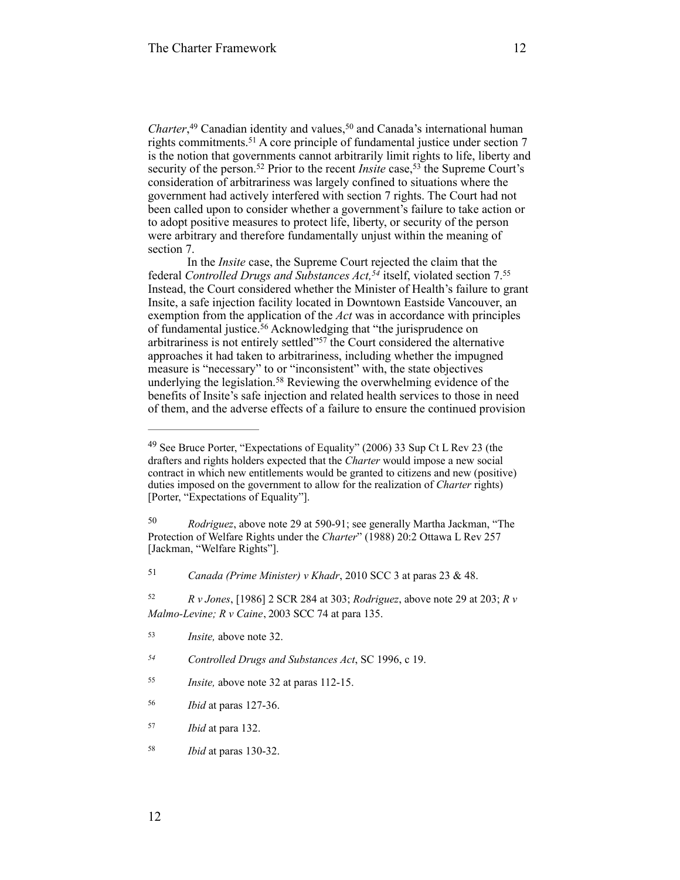*Charter*,<sup>49</sup> Canadian identity and values,<sup>50</sup> and Canada's international human rights commitments.<sup>51</sup> A core principle of fundamental justice under section  $7$ is the notion that governments cannot arbitrarily limit rights to life, liberty and security of the person.<sup>52</sup> Prior to the recent *Insite* case,<sup>53</sup> the Supreme Court's consideration of arbitrariness was largely confined to situations where the government had actively interfered with section 7 rights. The Court had not been called upon to consider whether a government's failure to take action or to adopt positive measures to protect life, liberty, or security of the person were arbitrary and therefore fundamentally unjust within the meaning of section 7.

In the *Insite* case, the Supreme Court rejected the claim that the federal *Controlled Drugs and Substances Act*,<sup>54</sup> itself, violated section 7.55 Instead, the Court considered whether the Minister of Health's failure to grant Insite, a safe injection facility located in Downtown Eastside Vancouver, an exemption from the application of the *Act* was in accordance with principles of fundamental justice.<sup>56</sup> Acknowledging that "the jurisprudence on arbitrariness is not entirely settled" $57$  the Court considered the alternative approaches it had taken to arbitrariness, including whether the impugned measure is "necessary" to or "inconsistent" with, the state objectives underlying the legislation.<sup>58</sup> Reviewing the overwhelming evidence of the benefits of Insite's safe injection and related health services to those in need of them, and the adverse effects of a failure to ensure the continued provision

*Canada (Prime Minister) v Khadr*, 2010 SCC 3 at paras 23 & 48. <sup>51</sup>

*Ibid* at paras 130-32. <sup>58</sup>

<sup>&</sup>lt;sup>49</sup> See Bruce Porter, "Expectations of Equality" (2006) 33 Sup Ct L Rev 23 (the drafters and rights holders expected that the *Charter* would impose a new social contract in which new entitlements would be granted to citizens and new (positive) duties imposed on the government to allow for the realization of *Charter* rights) [Porter, "Expectations of Equality"].

<sup>&</sup>lt;sup>50</sup> Rodriguez, above note 29 at 590-91; see generally Martha Jackman, "The Protection of Welfare Rights under the *Charter*" (1988) 20:2 Ottawa L Rev 257 [Jackman, "Welfare Rights"].

*R v Jones*, [1986] 2 SCR 284 at 303; *Rodriguez*, above note 29 at 203; *R v* <sup>52</sup> *Malmo-Levine; R v Caine*, 2003 SCC 74 at para 135.

*Insite*, above note 32.

*Controlled Drugs and Substances Act*, SC 1996, c 19. *<sup>54</sup>*

*Insite, above note 32 at paras 112-15.* 

*Ibid* at paras 127-36. <sup>56</sup>

*Ibid* at para 132. <sup>57</sup>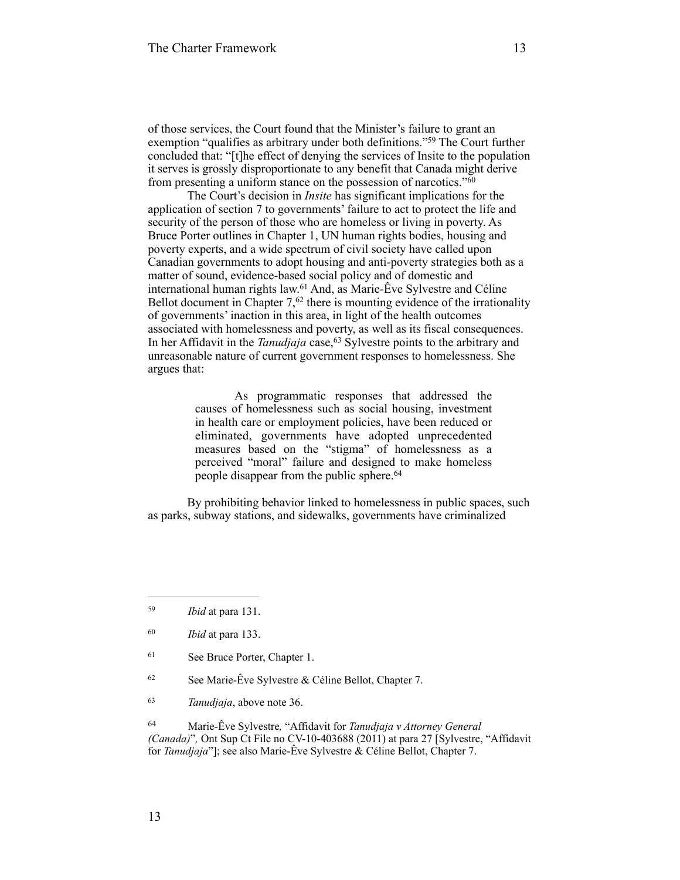of those services, the Court found that the Minister's failure to grant an exemption "qualifies as arbitrary under both definitions."<sup>59</sup> The Court further concluded that: "[t]he effect of denying the services of Insite to the population it serves is grossly disproportionate to any benefit that Canada might derive from presenting a uniform stance on the possession of narcotics."<sup>60</sup>

The Court's decision in *Insite* has significant implications for the application of section 7 to governments' failure to act to protect the life and security of the person of those who are homeless or living in poverty. As Bruce Porter outlines in Chapter 1, UN human rights bodies, housing and poverty experts, and a wide spectrum of civil society have called upon Canadian governments to adopt housing and anti-poverty strategies both as a matter of sound, evidence-based social policy and of domestic and international human rights law.<sup>61</sup> And, as Marie-Êve Sylvestre and Céline Bellot document in Chapter  $7<sup>62</sup>$  there is mounting evidence of the irrationality of governments' inaction in this area, in light of the health outcomes associated with homelessness and poverty, as well as its fiscal consequences. In her Affidavit in the *Tanudjaja* case,<sup>63</sup> Sylvestre points to the arbitrary and unreasonable nature of current government responses to homelessness. She argues that:

> As programmatic responses that addressed the causes of homelessness such as social housing, investment in health care or employment policies, have been reduced or eliminated, governments have adopted unprecedented measures based on the "stigma" of homelessness as a perceived "moral" failure and designed to make homeless people disappear from the public sphere. 64

By prohibiting behavior linked to homelessness in public spaces, such as parks, subway stations, and sidewalks, governments have criminalized

 $62$  See Marie-Êve Sylvestre & Céline Bellot, Chapter 7.

 Marie-Êve Sylvestre*,* "Affidavit for *Tanudjaja v Attorney General* <sup>64</sup> *(Canada)*"*,* Ont Sup Ct File no CV-10-403688 (2011) at para 27 [Sylvestre, "Affidavit for *Tanudjaja*"]; see also Marie-Êve Sylvestre & Céline Bellot, Chapter 7.

*Ibid* at para 131. <sup>59</sup>

*Ibid* at para 133. <sup>60</sup>

<sup>&</sup>lt;sup>61</sup> See Bruce Porter, Chapter 1.

<sup>&</sup>lt;sup>63</sup> *Tanudjaja*, above note 36.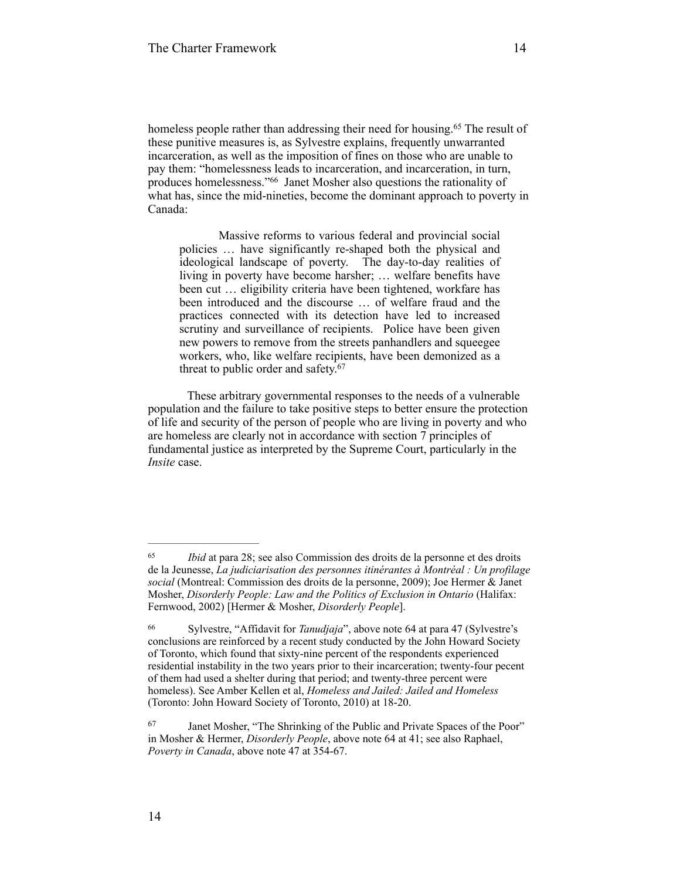homeless people rather than addressing their need for housing.<sup>65</sup> The result of these punitive measures is, as Sylvestre explains, frequently unwarranted incarceration, as well as the imposition of fines on those who are unable to pay them: "homelessness leads to incarceration, and incarceration, in turn, produces homelessness."<sup>66</sup> Janet Mosher also questions the rationality of what has, since the mid-nineties, become the dominant approach to poverty in Canada:

Massive reforms to various federal and provincial social policies … have significantly re-shaped both the physical and ideological landscape of poverty. The day-to-day realities of living in poverty have become harsher; … welfare benefits have been cut … eligibility criteria have been tightened, workfare has been introduced and the discourse … of welfare fraud and the practices connected with its detection have led to increased scrutiny and surveillance of recipients. Police have been given new powers to remove from the streets panhandlers and squeegee workers, who, like welfare recipients, have been demonized as a threat to public order and safety.<sup>67</sup>

These arbitrary governmental responses to the needs of a vulnerable population and the failure to take positive steps to better ensure the protection of life and security of the person of people who are living in poverty and who are homeless are clearly not in accordance with section 7 principles of fundamental justice as interpreted by the Supreme Court, particularly in the *Insite* case.

14

<sup>&</sup>lt;sup>65</sup> *Ibid* at para 28; see also Commission des droits de la personne et des droits de la Jeunesse, *La judiciarisation des personnes itinérantes à Montréal : Un profilage social* (Montreal: Commission des droits de la personne, 2009); Joe Hermer & Janet Mosher, *Disorderly People: Law and the Politics of Exclusion in Ontario* (Halifax: Fernwood, 2002) [Hermer & Mosher, *Disorderly People*].

Sylvestre, "Affidavit for *Tanudjaja*", above note 64 at para 47 (Sylvestre's 66 conclusions are reinforced by a recent study conducted by the John Howard Society of Toronto, which found that sixty-nine percent of the respondents experienced residential instability in the two years prior to their incarceration; twenty-four pecent of them had used a shelter during that period; and twenty-three percent were homeless). See Amber Kellen et al, *Homeless and Jailed: Jailed and Homeless* (Toronto: John Howard Society of Toronto, 2010) at 18-20.

<sup>&</sup>lt;sup>67</sup> Janet Mosher, "The Shrinking of the Public and Private Spaces of the Poor" in Mosher & Hermer, *Disorderly People*, above note 64 at 41; see also Raphael, *Poverty in Canada*, above note 47 at 354-67.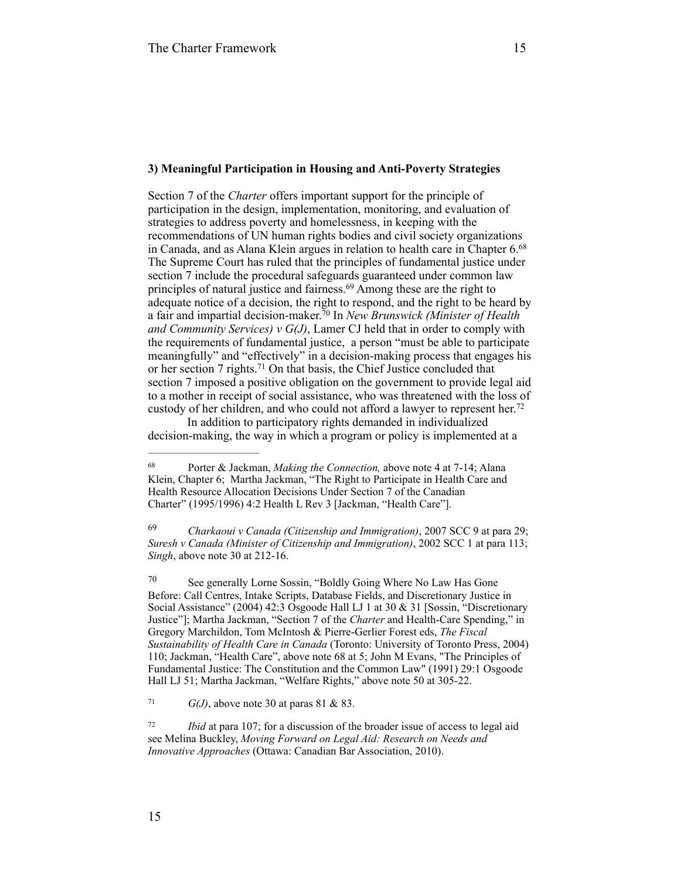#### **3) Meaningful Participation in Housing and Anti-Poverty Strategies**

Section 7 of the *Charter* offers important support for the principle of participation in the design, implementation, monitoring, and evaluation of strategies to address poverty and homelessness, in keeping with the recommendations of UN human rights bodies and civil society organizations in Canada, and as Alana Klein argues in relation to health care in Chapter 6. 68 The Supreme Court has ruled that the principles of fundamental justice under section 7 include the procedural safeguards guaranteed under common law principles of natural justice and fairness.<sup>69</sup> Among these are the right to adequate notice of a decision, the right to respond, and the right to be heard by a fair and impartial decision-maker.<sup>70</sup> In *New Brunswick (Minister of Health and Community Services) v G(J)*, Lamer CJ held that in order to comply with the requirements of fundamental justice, a person "must be able to participate meaningfully" and "effectively" in a decision-making process that engages his or her section  $7$  rights.<sup>71</sup> On that basis, the Chief Justice concluded that section 7 imposed a positive obligation on the government to provide legal aid to a mother in receipt of social assistance, who was threatened with the loss of custody of her children, and who could not afford a lawyer to represent her.<sup>72</sup>

In addition to participatory rights demanded in individualized decision-making, the way in which a program or policy is implemented at a

 *Charkaoui v Canada (Citizenship and Immigration)*, 2007 SCC 9 at para 29; 69 *Suresh v Canada (Minister of Citizenship and Immigration)*, 2002 SCC 1 at para 113; *Singh*, above note 30 at 212-16.

 $\frac{70}{20}$  See generally Lorne Sossin, "Boldly Going Where No Law Has Gone Before: Call Centres, Intake Scripts, Database Fields, and Discretionary Justice in Social Assistance" (2004) 42:3 Osgoode Hall LJ 1 at 30 & 31 [Sossin, "Discretionary Justice"]; Martha Jackman, "Section 7 of the *Charter* and Health-Care Spending," in Gregory Marchildon, Tom McIntosh & Pierre-Gerlier Forest eds, *The Fiscal Sustainability of Health Care in Canada* (Toronto: University of Toronto Press, 2004) 110; Jackman, "Health Care", above note 68 at 5; John M Evans, "The Principles of Fundamental Justice: The Constitution and the Common Law" (1991) 29:1 Osgoode Hall LJ 51; Martha Jackman, "Welfare Rights," above note 50 at 305-22.

<sup>71</sup> *G(J)*, above note 30 at paras 81 & 83.

<sup>72</sup> *Ibid* at para 107; for a discussion of the broader issue of access to legal aid see Melina Buckley, *Moving Forward on Legal Aid: Research on Needs and Innovative Approaches* (Ottawa: Canadian Bar Association, 2010).

<sup>&</sup>lt;sup>68</sup> Porter & Jackman, *Making the Connection*, above note 4 at 7-14; Alana Klein, Chapter 6; Martha Jackman, "The Right to Participate in Health Care and Health Resource Allocation Decisions Under Section 7 of the Canadian Charter" (1995/1996) 4:2 Health L Rev 3 [Jackman, "Health Care"].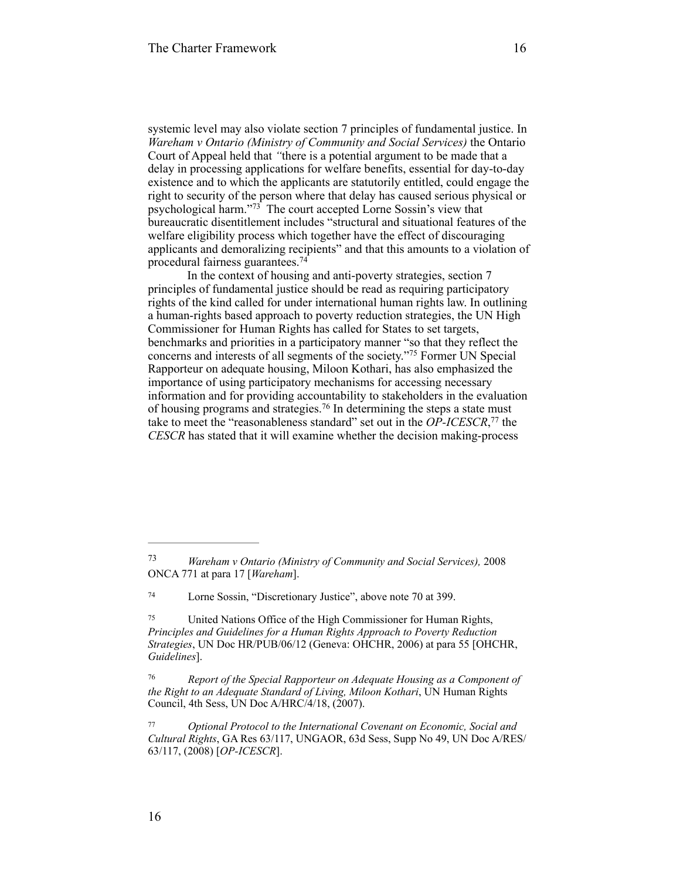systemic level may also violate section 7 principles of fundamental justice. In *Wareham v Ontario (Ministry of Community and Social Services)* the Ontario Court of Appeal held that *"*there is a potential argument to be made that a delay in processing applications for welfare benefits, essential for day-to-day existence and to which the applicants are statutorily entitled, could engage the right to security of the person where that delay has caused serious physical or psychological harm." $73$  The court accepted Lorne Sossin's view that bureaucratic disentitlement includes "structural and situational features of the welfare eligibility process which together have the effect of discouraging applicants and demoralizing recipients" and that this amounts to a violation of procedural fairness guarantees. 74

In the context of housing and anti-poverty strategies, section 7 principles of fundamental justice should be read as requiring participatory rights of the kind called for under international human rights law. In outlining a human-rights based approach to poverty reduction strategies, the UN High Commissioner for Human Rights has called for States to set targets, benchmarks and priorities in a participatory manner "so that they reflect the concerns and interests of all segments of the society."<sup>75</sup> Former UN Special Rapporteur on adequate housing, Miloon Kothari, has also emphasized the importance of using participatory mechanisms for accessing necessary information and for providing accountability to stakeholders in the evaluation of housing programs and strategies.<sup>76</sup> In determining the steps a state must take to meet the "reasonableness standard" set out in the *OP-ICESCR*,<sup>77</sup> the *CESCR* has stated that it will examine whether the decision making-process

*Wareham v Ontario (Ministry of Community and Social Services),* 2008 73 ONCA 771 at para 17 [*Wareham*].

Lorne Sossin, "Discretionary Justice", above note 70 at 399. <sup>74</sup>

United Nations Office of the High Commissioner for Human Rights, 75 *Principles and Guidelines for a Human Rights Approach to Poverty Reduction Strategies*, UN Doc HR/PUB/06/12 (Geneva: OHCHR, 2006) at para 55 [OHCHR, *Guidelines*].

*Report of the Special Rapporteur on Adequate Housing as a Component of the Right to an Adequate Standard of Living, Miloon Kothari*, UN Human Rights Council, 4th Sess, UN Doc A/HRC/4/18, (2007).

*Optional Protocol to the International Covenant on Economic, Social and* <sup>77</sup> *Cultural Rights*, GA Res 63/117, UNGAOR, 63d Sess, Supp No 49, UN Doc A/RES/ 63/117, (2008) [*OP-ICESCR*].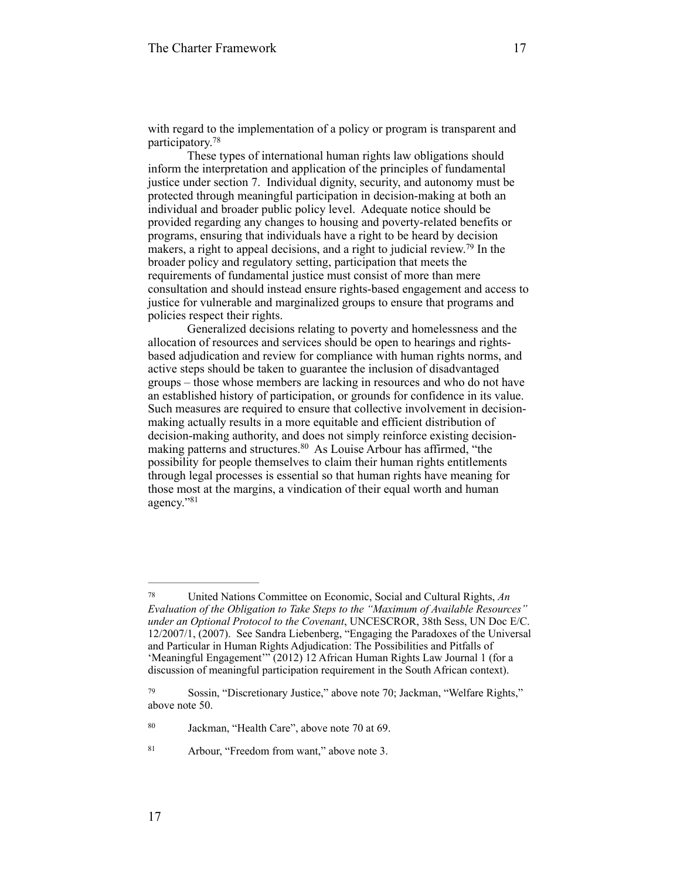with regard to the implementation of a policy or program is transparent and participatory. 78

These types of international human rights law obligations should inform the interpretation and application of the principles of fundamental justice under section 7. Individual dignity, security, and autonomy must be protected through meaningful participation in decision-making at both an individual and broader public policy level. Adequate notice should be provided regarding any changes to housing and poverty-related benefits or programs, ensuring that individuals have a right to be heard by decision makers, a right to appeal decisions, and a right to judicial review.<sup>79</sup> In the broader policy and regulatory setting, participation that meets the requirements of fundamental justice must consist of more than mere consultation and should instead ensure rights-based engagement and access to justice for vulnerable and marginalized groups to ensure that programs and policies respect their rights.

Generalized decisions relating to poverty and homelessness and the allocation of resources and services should be open to hearings and rightsbased adjudication and review for compliance with human rights norms, and active steps should be taken to guarantee the inclusion of disadvantaged groups – those whose members are lacking in resources and who do not have an established history of participation, or grounds for confidence in its value. Such measures are required to ensure that collective involvement in decisionmaking actually results in a more equitable and efficient distribution of decision-making authority, and does not simply reinforce existing decisionmaking patterns and structures.<sup>80</sup> As Louise Arbour has affirmed, "the possibility for people themselves to claim their human rights entitlements through legal processes is essential so that human rights have meaning for those most at the margins, a vindication of their equal worth and human agency."81

United Nations Committee on Economic, Social and Cultural Rights, *An* <sup>78</sup> *Evaluation of the Obligation to Take Steps to the "Maximum of Available Resources" under an Optional Protocol to the Covenant*, UNCESCROR, 38th Sess, UN Doc E/C. 12/2007/1, (2007). See Sandra Liebenberg, "Engaging the Paradoxes of the Universal and Particular in Human Rights Adjudication: The Possibilities and Pitfalls of 'Meaningful Engagement'" (2012) 12 African Human Rights Law Journal 1 (for a discussion of meaningful participation requirement in the South African context).

Sossin, "Discretionary Justice," above note 70; Jackman, "Welfare Rights," 79 above note 50.

<sup>&</sup>lt;sup>80</sup> Jackman, "Health Care", above note 70 at 69.

<sup>&</sup>lt;sup>81</sup> Arbour, "Freedom from want," above note 3.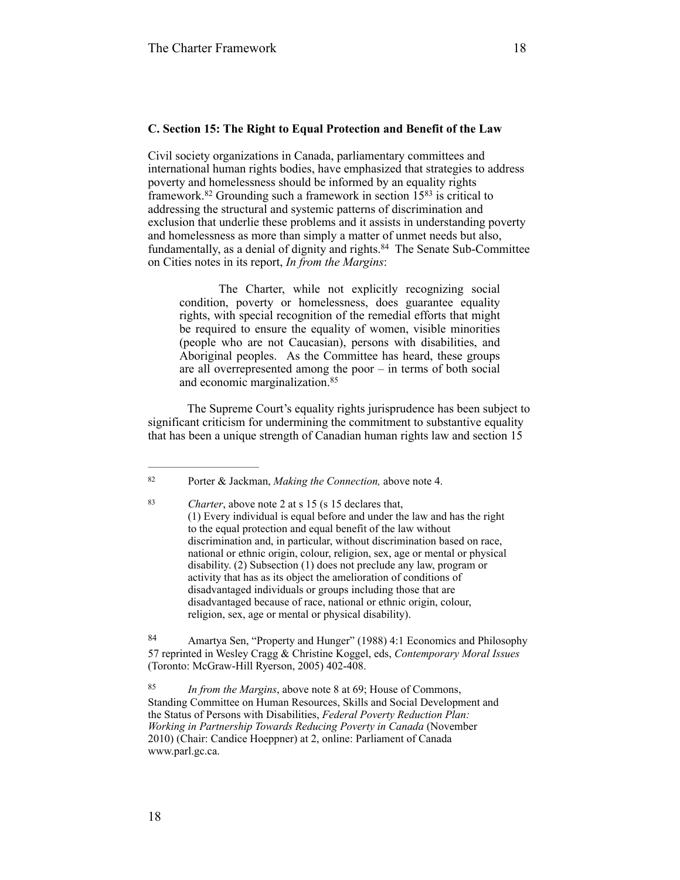#### **C. Section 15: The Right to Equal Protection and Benefit of the Law**

Civil society organizations in Canada, parliamentary committees and international human rights bodies, have emphasized that strategies to address poverty and homelessness should be informed by an equality rights framework.<sup>82</sup> Grounding such a framework in section  $15^{83}$  is critical to addressing the structural and systemic patterns of discrimination and exclusion that underlie these problems and it assists in understanding poverty and homelessness as more than simply a matter of unmet needs but also, fundamentally, as a denial of dignity and rights.<sup>84</sup> The Senate Sub-Committee on Cities notes in its report, *In from the Margins*:

The Charter, while not explicitly recognizing social condition, poverty or homelessness, does guarantee equality rights, with special recognition of the remedial efforts that might be required to ensure the equality of women, visible minorities (people who are not Caucasian), persons with disabilities, and Aboriginal peoples. As the Committee has heard, these groups are all overrepresented among the poor – in terms of both social and economic marginalization. 85

The Supreme Court's equality rights jurisprudence has been subject to significant criticism for undermining the commitment to substantive equality that has been a unique strength of Canadian human rights law and section 15

Porter & Jackman, *Making the Connection,* above note 4. <sup>82</sup>

*Charter*, above note 2 at s 15 (s 15 declares that, 83 (1) Every individual is equal before and under the law and has the right to the equal protection and equal benefit of the law without discrimination and, in particular, without discrimination based on race, national or ethnic origin, colour, religion, sex, age or mental or physical disability. (2) Subsection (1) does not preclude any law, program or activity that has as its object the amelioration of conditions of disadvantaged individuals or groups including those that are disadvantaged because of race, national or ethnic origin, colour, religion, sex, age or mental or physical disability).

<sup>84</sup> Amartya Sen, "Property and Hunger" (1988) 4:1 Economics and Philosophy 57 reprinted in Wesley Cragg & Christine Koggel, eds, *Contemporary Moral Issues* (Toronto: McGraw-Hill Ryerson, 2005) 402-408.

*In from the Margins*, above note 8 at 69; House of Commons, 85 Standing Committee on Human Resources, Skills and Social Development and the Status of Persons with Disabilities, *Federal Poverty Reduction Plan: Working in Partnership Towards Reducing Poverty in Canada* (November 2010) (Chair: Candice Hoeppner) at 2, online: Parliament of Canada [www.parl.gc.ca.](http://www.parl.gc.ca)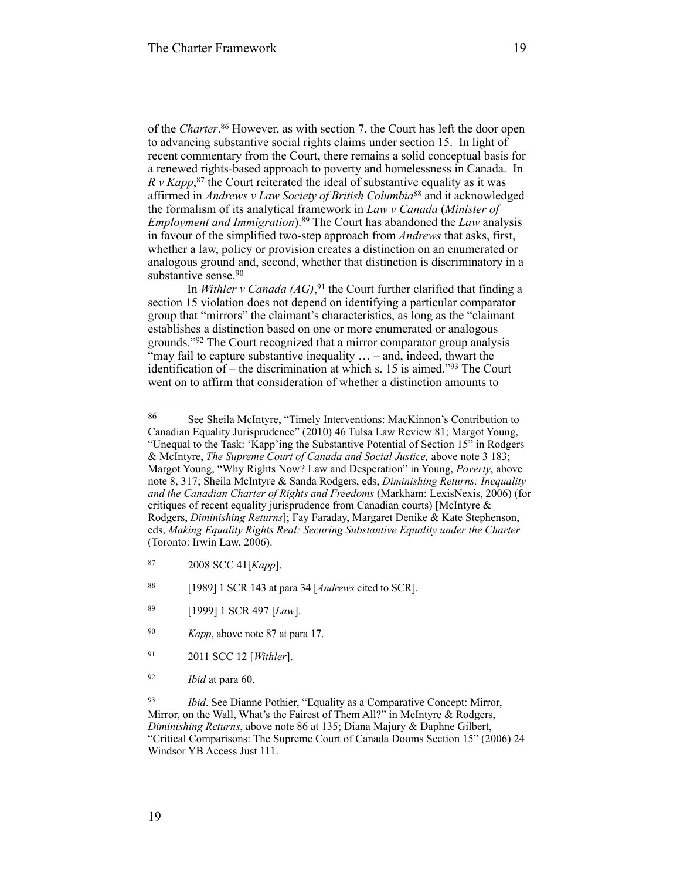of the *Charter*.<sup>86</sup> However, as with section 7, the Court has left the door open to advancing substantive social rights claims under section 15. In light of recent commentary from the Court, there remains a solid conceptual basis for a renewed rights-based approach to poverty and homelessness in Canada. In  $R \, v$  *Kapp*,<sup>87</sup> the Court reiterated the ideal of substantive equality as it was affirmed in *Andrews v Law Society of British Columbia*<sup>88</sup> and it acknowledged the formalism of its analytical framework in *Law v Canada* (*Minister of Employment and Immigration*).<sup>89</sup> The Court has abandoned the *Law* analysis in favour of the simplified two-step approach from *Andrews* that asks, first, whether a law, policy or provision creates a distinction on an enumerated or analogous ground and, second, whether that distinction is discriminatory in a substantive sense.<sup>90</sup>

In *Withler v Canada (AG)*,<sup>91</sup> the Court further clarified that finding a section 15 violation does not depend on identifying a particular comparator group that "mirrors" the claimant's characteristics, as long as the "claimant establishes a distinction based on one or more enumerated or analogous grounds."<sup>92</sup> The Court recognized that a mirror comparator group analysis "may fail to capture substantive inequality  $\ldots$  – and, indeed, thwart the identification of – the discrimination at which s. 15 is aimed.<sup>793</sup> The Court went on to affirm that consideration of whether a distinction amounts to

- 2011 SCC 12 [*Withler*]. 91
- <sup>92</sup> *Ibid* at para 60.

<sup>93</sup> *Ibid.* See Dianne Pothier, "Equality as a Comparative Concept: Mirror, Mirror, on the Wall, What's the Fairest of Them All?" in McIntyre & Rodgers, *Diminishing Returns*, above note 86 at 135; Diana Majury & Daphne Gilbert, "Critical Comparisons: The Supreme Court of Canada Dooms Section 15" (2006) 24 Windsor YB Access Just 111.

See Sheila McIntyre, "Timely Interventions: MacKinnon's Contribution to 86 Canadian Equality Jurisprudence" (2010) 46 Tulsa Law Review 81; Margot Young, "Unequal to the Task: 'Kapp'ing the Substantive Potential of Section 15" in Rodgers & McIntyre, *The Supreme Court of Canada and Social Justice,* above note 3 183; Margot Young, "Why Rights Now? Law and Desperation" in Young, *Poverty*, above note 8, 317; Sheila McIntyre & Sanda Rodgers, eds, *Diminishing Returns: Inequality and the Canadian Charter of Rights and Freedoms* (Markham: LexisNexis, 2006) (for critiques of recent equality jurisprudence from Canadian courts) [McIntyre & Rodgers, *Diminishing Returns*]; Fay Faraday, Margaret Denike & Kate Stephenson, eds, *Making Equality Rights Real: Securing Substantive Equality under the Charter* (Toronto: Irwin Law, 2006).

 <sup>2008</sup> SCC 41[*Kapp*]. 87

 <sup>[1989] 1</sup> SCR 143 at para 34 [*Andrews* cited to SCR]. 88

 <sup>[1999] 1</sup> SCR 497 [*Law*]. 89

<sup>&</sup>lt;sup>90</sup> *Kapp*, above note 87 at para 17.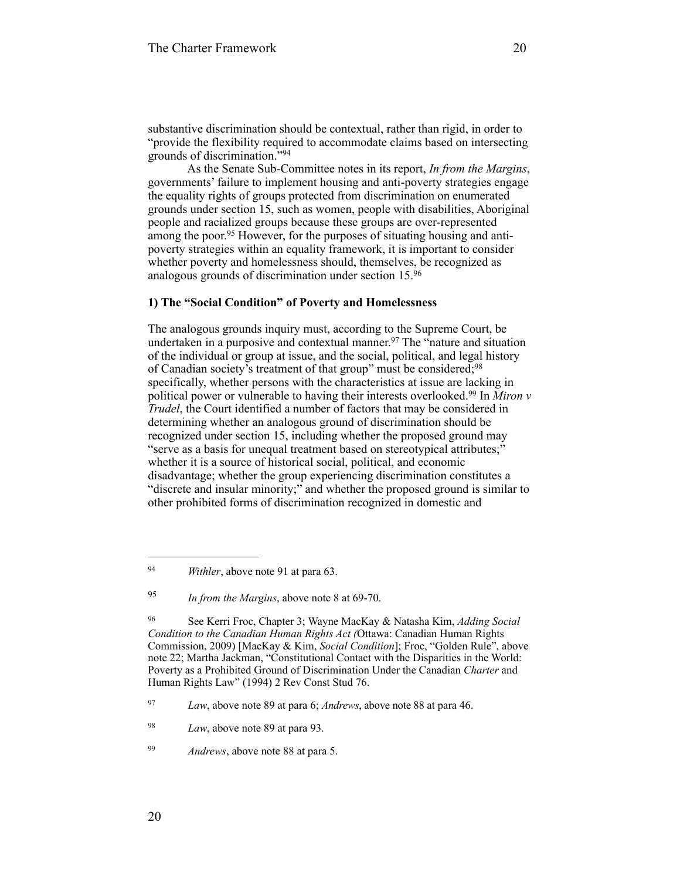substantive discrimination should be contextual, rather than rigid, in order to "provide the flexibility required to accommodate claims based on intersecting grounds of discrimination."<sup>94</sup>

As the Senate Sub-Committee notes in its report, *In from the Margins*, governments' failure to implement housing and anti-poverty strategies engage the equality rights of groups protected from discrimination on enumerated grounds under section 15, such as women, people with disabilities, Aboriginal people and racialized groups because these groups are over-represented among the poor.<sup>95</sup> However, for the purposes of situating housing and antipoverty strategies within an equality framework, it is important to consider whether poverty and homelessness should, themselves, be recognized as analogous grounds of discrimination under section 15. 96

## **1) The "Social Condition" of Poverty and Homelessness**

The analogous grounds inquiry must, according to the Supreme Court, be undertaken in a purposive and contextual manner.<sup>97</sup> The "nature and situation" of the individual or group at issue, and the social, political, and legal history of Canadian society's treatment of that group" must be considered;<sup>98</sup> specifically, whether persons with the characteristics at issue are lacking in political power or vulnerable to having their interests overlooked.<sup>99</sup> In *Miron v Trudel*, the Court identified a number of factors that may be considered in determining whether an analogous ground of discrimination should be recognized under section 15, including whether the proposed ground may "serve as a basis for unequal treatment based on stereotypical attributes;" whether it is a source of historical social, political, and economic disadvantage; whether the group experiencing discrimination constitutes a "discrete and insular minority;" and whether the proposed ground is similar to other prohibited forms of discrimination recognized in domestic and

<sup>&</sup>lt;sup>94</sup> *Withler*, above note 91 at para 63.

*In from the Margins*, above note 8 at 69-70. <sup>95</sup>

See Kerri Froc, Chapter 3; Wayne MacKay & Natasha Kim, *Adding Social* <sup>96</sup> *Condition to the Canadian Human Rights Act (*Ottawa: Canadian Human Rights Commission, 2009) [MacKay & Kim, *Social Condition*]; Froc, "Golden Rule", above note 22; Martha Jackman, "Constitutional Contact with the Disparities in the World: Poverty as a Prohibited Ground of Discrimination Under the Canadian *Charter* and Human Rights Law" (1994) 2 Rev Const Stud 76.

*Law*, above note 89 at para 6; *Andrews*, above note 88 at para 46. <sup>97</sup>

<sup>&</sup>lt;sup>98</sup> *Law*, above note 89 at para 93.

<sup>&</sup>lt;sup>99</sup> *Andrews*, above note 88 at para 5.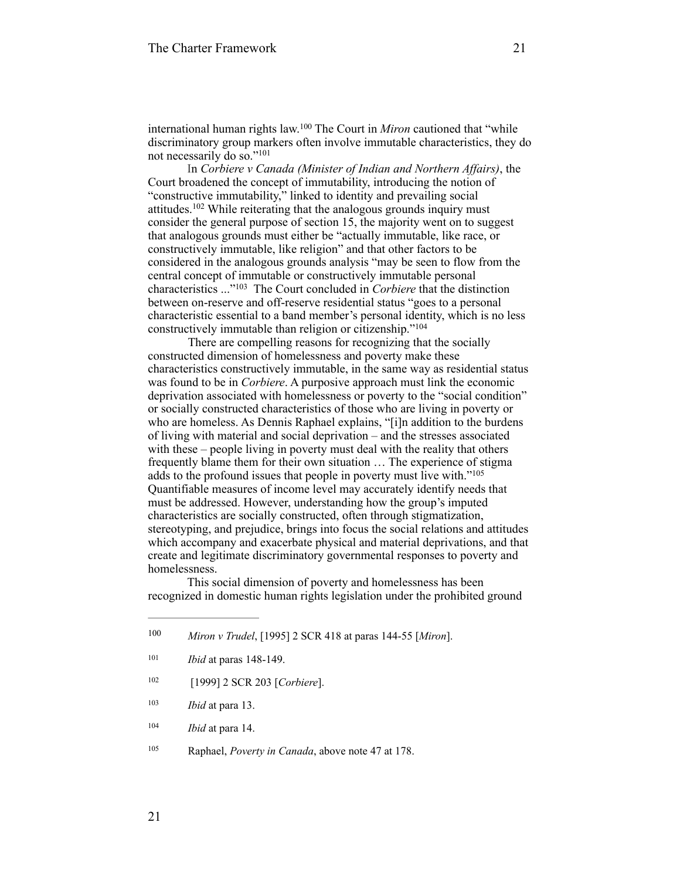international human rights law.<sup>100</sup> The Court in *Miron* cautioned that "while discriminatory group markers often involve immutable characteristics, they do not necessarily do so."<sup>101</sup>

In *Corbiere v Canada (Minister of Indian and Northern Affairs)*, the Court broadened the concept of immutability, introducing the notion of "constructive immutability," linked to identity and prevailing social attitudes.  $102$  While reiterating that the analogous grounds inquiry must consider the general purpose of section 15, the majority went on to suggest that analogous grounds must either be "actually immutable, like race, or constructively immutable, like religion" and that other factors to be considered in the analogous grounds analysis "may be seen to flow from the central concept of immutable or constructively immutable personal characteristics ..."<sup>103</sup> The Court concluded in *Corbiere* that the distinction between on-reserve and off-reserve residential status "goes to a personal characteristic essential to a band member's personal identity, which is no less constructively immutable than religion or citizenship."<sup>104</sup>

 There are compelling reasons for recognizing that the socially constructed dimension of homelessness and poverty make these characteristics constructively immutable, in the same way as residential status was found to be in *Corbiere*. A purposive approach must link the economic deprivation associated with homelessness or poverty to the "social condition" or socially constructed characteristics of those who are living in poverty or who are homeless. As Dennis Raphael explains, "[i]n addition to the burdens of living with material and social deprivation – and the stresses associated with these – people living in poverty must deal with the reality that others frequently blame them for their own situation … The experience of stigma adds to the profound issues that people in poverty must live with."105 Quantifiable measures of income level may accurately identify needs that must be addressed. However, understanding how the group's imputed characteristics are socially constructed, often through stigmatization, stereotyping, and prejudice, brings into focus the social relations and attitudes which accompany and exacerbate physical and material deprivations, and that create and legitimate discriminatory governmental responses to poverty and homelessness.

This social dimension of poverty and homelessness has been recognized in domestic human rights legislation under the prohibited ground

- [1999] 2 SCR 203 [*Corbiere*]. <sup>102</sup>
- <sup>103</sup> *Ibid* at para 13.
- <sup>104</sup> *Ibid* at para 14.
- <sup>105</sup> Raphael, *Poverty in Canada*, above note 47 at 178.

*Miron v Trudel*, [1995] 2 SCR 418 at paras 144-55 [*Miron*]. 100

<sup>&</sup>lt;sup>101</sup> *Ibid* at paras 148-149.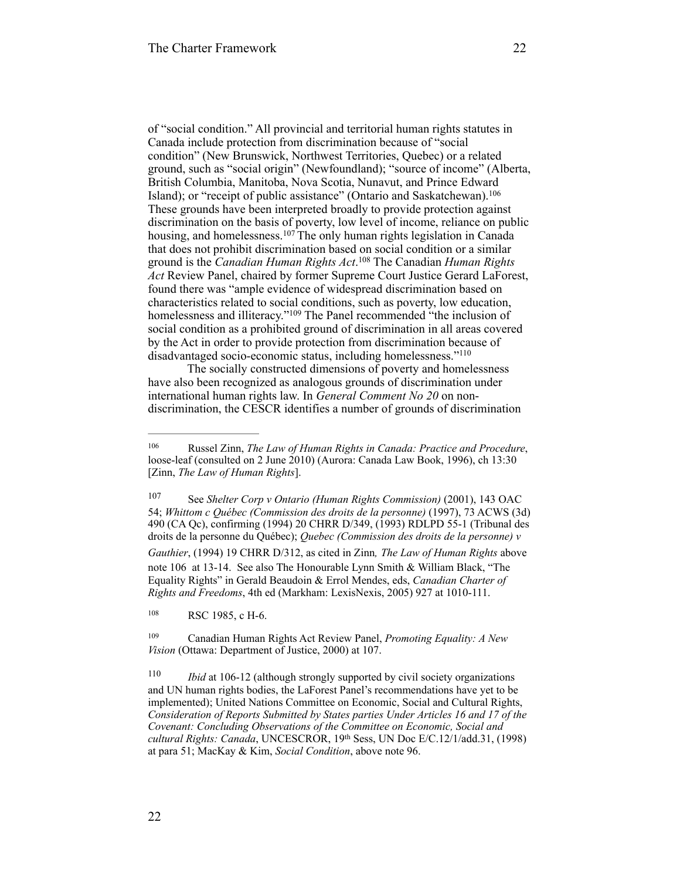of "social condition." All provincial and territorial human rights statutes in Canada include protection from discrimination because of "social condition" (New Brunswick, Northwest Territories, Quebec) or a related ground, such as "social origin" (Newfoundland); "source of income" (Alberta, British Columbia, Manitoba, Nova Scotia, Nunavut, and Prince Edward Island); or "receipt of public assistance" (Ontario and Saskatchewan).<sup>106</sup> These grounds have been interpreted broadly to provide protection against discrimination on the basis of poverty, low level of income, reliance on public housing, and homelessness.  $107$  The only human rights legislation in Canada that does not prohibit discrimination based on social condition or a similar ground is the *Canadian Human Rights Act*.<sup>108</sup> The Canadian *Human Rights Act* Review Panel, chaired by former Supreme Court Justice Gerard LaForest, found there was "ample evidence of widespread discrimination based on characteristics related to social conditions, such as poverty, low education, homelessness and illiteracy."<sup>109</sup> The Panel recommended "the inclusion of social condition as a prohibited ground of discrimination in all areas covered by the Act in order to provide protection from discrimination because of disadvantaged socio-economic status, including homelessness."110

The socially constructed dimensions of poverty and homelessness have also been recognized as analogous grounds of discrimination under international human rights law. In *General Comment No 20* on nondiscrimination, the CESCR identifies a number of grounds of discrimination

108 RSC 1985, c H-6.

Russel Zinn, *The Law of Human Rights in Canada: Practice and Procedure*, 106 loose-leaf (consulted on 2 June 2010) (Aurora: Canada Law Book, 1996), ch 13:30 [Zinn, *The Law of Human Rights*].

<sup>&</sup>lt;sup>107</sup> See *Shelter Corp v Ontario (Human Rights Commission)* (2001), 143 OAC 54; *Whittom c Québec (Commission des droits de la personne)* (1997), 73 ACWS (3d) 490 (CA Qc), confirming (1994) 20 CHRR D/349, (1993) RDLPD 55-1 (Tribunal des droits de la personne du Québec); *Quebec (Commission des droits de la personne) v Gauthier*, (1994) 19 CHRR D/312, as cited in Zinn*, The Law of Human Rights* above note 106 at 13-14. See also The Honourable Lynn Smith & William Black, "The Equality Rights" in Gerald Beaudoin & Errol Mendes, eds, *Canadian Charter of Rights and Freedoms*, 4th ed (Markham: LexisNexis, 2005) 927 at 1010-111.

<sup>&</sup>lt;sup>109</sup> Canadian Human Rights Act Review Panel, *Promoting Equality: A New Vision (Ottawa: Department of Justice, 2000) at 107.* 

<sup>&</sup>lt;sup>110</sup> *Ibid* at 106-12 (although strongly supported by civil society organizations and UN human rights bodies, the LaForest Panel's recommendations have yet to be implemented); United Nations Committee on Economic, Social and Cultural Rights, *Consideration of Reports Submitted by States parties Under Articles 16 and 17 of the Covenant: Concluding Observations of the Committee on Economic, Social and cultural Rights: Canada*, UNCESCROR, 19th Sess, UN Doc E/C.12/1/add.31, (1998) at para 51; MacKay & Kim, *Social Condition*, above note 96.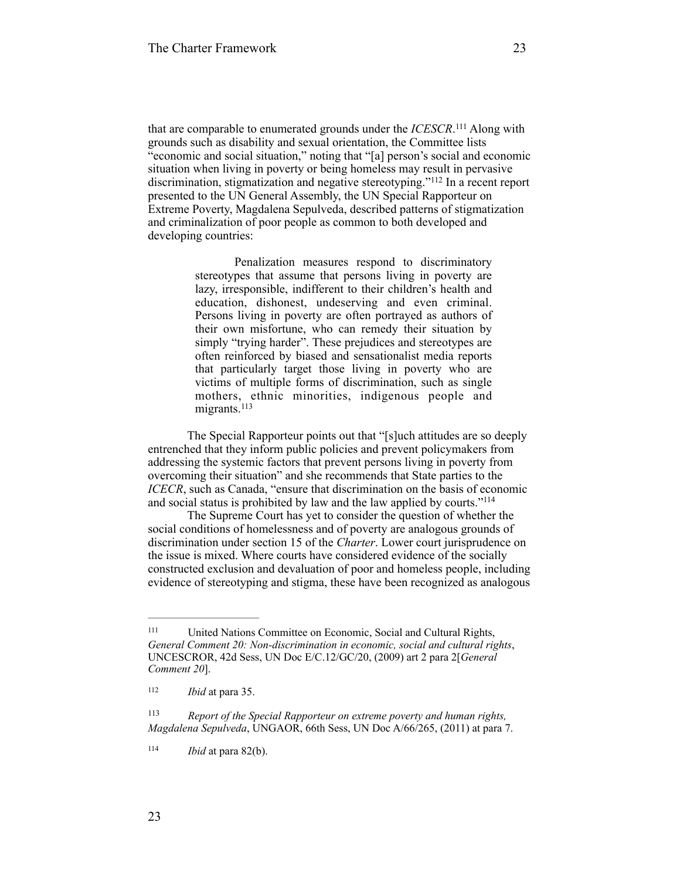that are comparable to enumerated grounds under the *ICESCR*.<sup>111</sup> Along with grounds such as disability and sexual orientation, the Committee lists "economic and social situation," noting that "[a] person's social and economic situation when living in poverty or being homeless may result in pervasive discrimination, stigmatization and negative stereotyping."<sup>112</sup> In a recent report presented to the UN General Assembly, the UN Special Rapporteur on Extreme Poverty, Magdalena Sepulveda, described patterns of stigmatization and criminalization of poor people as common to both developed and developing countries:

> Penalization measures respond to discriminatory stereotypes that assume that persons living in poverty are lazy, irresponsible, indifferent to their children's health and education, dishonest, undeserving and even criminal. Persons living in poverty are often portrayed as authors of their own misfortune, who can remedy their situation by simply "trying harder". These prejudices and stereotypes are often reinforced by biased and sensationalist media reports that particularly target those living in poverty who are victims of multiple forms of discrimination, such as single mothers, ethnic minorities, indigenous people and migrants.<sup>113</sup>

The Special Rapporteur points out that "[s]uch attitudes are so deeply entrenched that they inform public policies and prevent policymakers from addressing the systemic factors that prevent persons living in poverty from overcoming their situation" and she recommends that State parties to the *ICECR*, such as Canada, "ensure that discrimination on the basis of economic and social status is prohibited by law and the law applied by courts."114

The Supreme Court has yet to consider the question of whether the social conditions of homelessness and of poverty are analogous grounds of discrimination under section 15 of the *Charter*. Lower court jurisprudence on the issue is mixed. Where courts have considered evidence of the socially constructed exclusion and devaluation of poor and homeless people, including evidence of stereotyping and stigma, these have been recognized as analogous

United Nations Committee on Economic, Social and Cultural Rights, 111 *General Comment 20: Non-discrimination in economic, social and cultural rights*, UNCESCROR, 42d Sess, UN Doc E/C.12/GC/20, (2009) art 2 para 2[*General Comment 20*].

 $112$  *Ibid* at para 35.

*Report of the Special Rapporteur on extreme poverty and human rights,* <sup>113</sup> *Magdalena Sepulveda*, UNGAOR, 66th Sess, UN Doc A/66/265, (2011) at para 7.

 $114$  *Ibid* at para 82(b).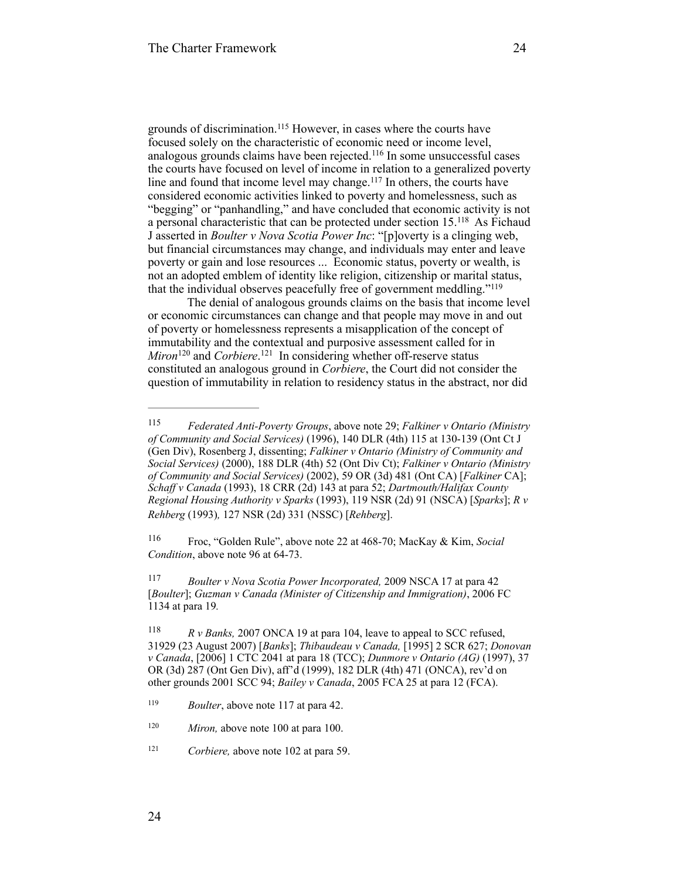grounds of discrimination.<sup>115</sup> However, in cases where the courts have focused solely on the characteristic of economic need or income level, analogous grounds claims have been rejected.<sup>116</sup> In some unsuccessful cases the courts have focused on level of income in relation to a generalized poverty line and found that income level may change. $117$  In others, the courts have considered economic activities linked to poverty and homelessness, such as "begging" or "panhandling," and have concluded that economic activity is not a personal characteristic that can be protected under section 15.<sup>118</sup> As Fichaud J asserted in *Boulter v Nova Scotia Power Inc*: "[p]overty is a clinging web, but financial circumstances may change, and individuals may enter and leave poverty or gain and lose resources ... Economic status, poverty or wealth, is not an adopted emblem of identity like religion, citizenship or marital status, that the individual observes peacefully free of government meddling."119

The denial of analogous grounds claims on the basis that income level or economic circumstances can change and that people may move in and out of poverty or homelessness represents a misapplication of the concept of immutability and the contextual and purposive assessment called for in *Miron*<sup>120</sup> and *Corbiere*.<sup>121</sup> In considering whether off-reserve status constituted an analogous ground in *Corbiere*, the Court did not consider the question of immutability in relation to residency status in the abstract, nor did

*Federated Anti-Poverty Groups*, above note 29; *Falkiner v Ontario (Ministry* <sup>115</sup> *of Community and Social Services)* (1996), 140 DLR (4th) 115 at 130-139 (Ont Ct J (Gen Div), Rosenberg J, dissenting; *Falkiner v Ontario (Ministry of Community and Social Services)* (2000), 188 DLR (4th) 52 (Ont Div Ct); *Falkiner v Ontario (Ministry of Community and Social Services)* (2002), 59 OR (3d) 481 (Ont CA) [*Falkiner* CA]; *Schaff v Canada* (1993), 18 CRR (2d) 143 at para 52; *Dartmouth/Halifax County Regional Housing Authority v Sparks* (1993), 119 NSR (2d) 91 (NSCA) [*Sparks*]; *R v Rehberg* (1993)*,* 127 NSR (2d) 331 (NSSC) [*Rehberg*].

Froc, "Golden Rule", above note 22 at 468-70; MacKay & Kim, *Social* <sup>116</sup> *Condition*, above note 96 at 64-73.

<sup>&</sup>lt;sup>117</sup> *Boulter v Nova Scotia Power Incorporated, 2009 NSCA 17 at para 42* [*Boulter*]; *Guzman v Canada (Minister of Citizenship and Immigration)*, 2006 FC 1134 at para 19*.* 

<sup>&</sup>lt;sup>118</sup> *R v Banks*, 2007 ONCA 19 at para 104, leave to appeal to SCC refused, 31929 (23 August 2007) [*Banks*]; *Thibaudeau v Canada,* [1995] 2 SCR 627; *Donovan v Canada*, [2006] 1 CTC 2041 at para 18 (TCC); *Dunmore v Ontario (AG)* (1997), 37 OR (3d) 287 (Ont Gen Div), aff'd (1999), 182 DLR (4th) 471 (ONCA), rev'd on other grounds 2001 SCC 94; *Bailey v Canada*, 2005 FCA 25 at para 12 (FCA).

<sup>&</sup>lt;sup>119</sup> *Boulter*, above note 117 at para 42.

<sup>&</sup>lt;sup>120</sup> *Miron,* above note 100 at para 100.

<sup>&</sup>lt;sup>121</sup> *Corbiere, above note 102 at para 59.*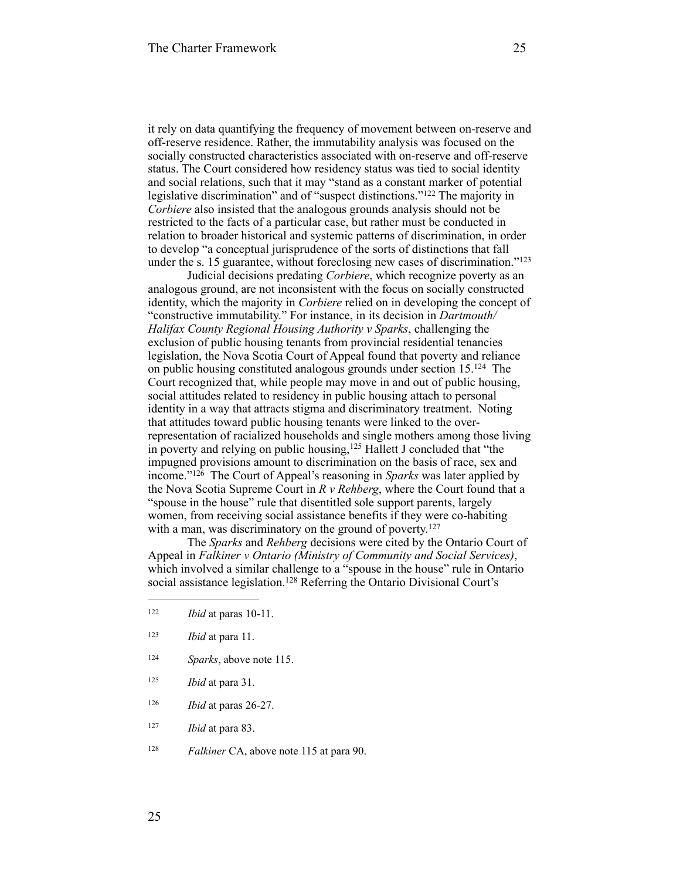it rely on data quantifying the frequency of movement between on-reserve and off-reserve residence. Rather, the immutability analysis was focused on the socially constructed characteristics associated with on-reserve and off-reserve status. The Court considered how residency status was tied to social identity and social relations, such that it may "stand as a constant marker of potential legislative discrimination" and of "suspect distinctions."<sup>122</sup> The majority in *Corbiere* also insisted that the analogous grounds analysis should not be restricted to the facts of a particular case, but rather must be conducted in relation to broader historical and systemic patterns of discrimination, in order to develop "a conceptual jurisprudence of the sorts of distinctions that fall under the s. 15 guarantee, without foreclosing new cases of discrimination."<sup>123</sup>

Judicial decisions predating *Corbiere*, which recognize poverty as an analogous ground, are not inconsistent with the focus on socially constructed identity, which the majority in *Corbiere* relied on in developing the concept of "constructive immutability." For instance, in its decision in *Dartmouth/ Halifax County Regional Housing Authority v Sparks*, challenging the exclusion of public housing tenants from provincial residential tenancies legislation, the Nova Scotia Court of Appeal found that poverty and reliance on public housing constituted analogous grounds under section  $15^{124}$  The Court recognized that, while people may move in and out of public housing, social attitudes related to residency in public housing attach to personal identity in a way that attracts stigma and discriminatory treatment. Noting that attitudes toward public housing tenants were linked to the overrepresentation of racialized households and single mothers among those living in poverty and relying on public housing,  $125$  Hallett J concluded that "the impugned provisions amount to discrimination on the basis of race, sex and income."<sup>126</sup> The Court of Appeal's reasoning in *Sparks* was later applied by the Nova Scotia Supreme Court in *R v Rehberg*, where the Court found that a "spouse in the house" rule that disentitled sole support parents, largely women, from receiving social assistance benefits if they were co-habiting with a man, was discriminatory on the ground of poverty.<sup>127</sup>

The *Sparks* and *Rehberg* decisions were cited by the Ontario Court of Appeal in *Falkiner v Ontario (Ministry of Community and Social Services)*, which involved a similar challenge to a "spouse in the house" rule in Ontario social assistance legislation.<sup>128</sup> Referring the Ontario Divisional Court's

- <sup>123</sup> *Ibid* at para 11.
- <sup>124</sup> *Sparks*, above note 115.
- $125$  *Ibid* at para 31.
- $126$  *Ibid* at paras 26-27.
- <sup>127</sup> *Ibid* at para 83.
- <sup>128</sup> *Falkiner* CA, above note 115 at para 90.

 $122$  *Ibid* at paras 10-11.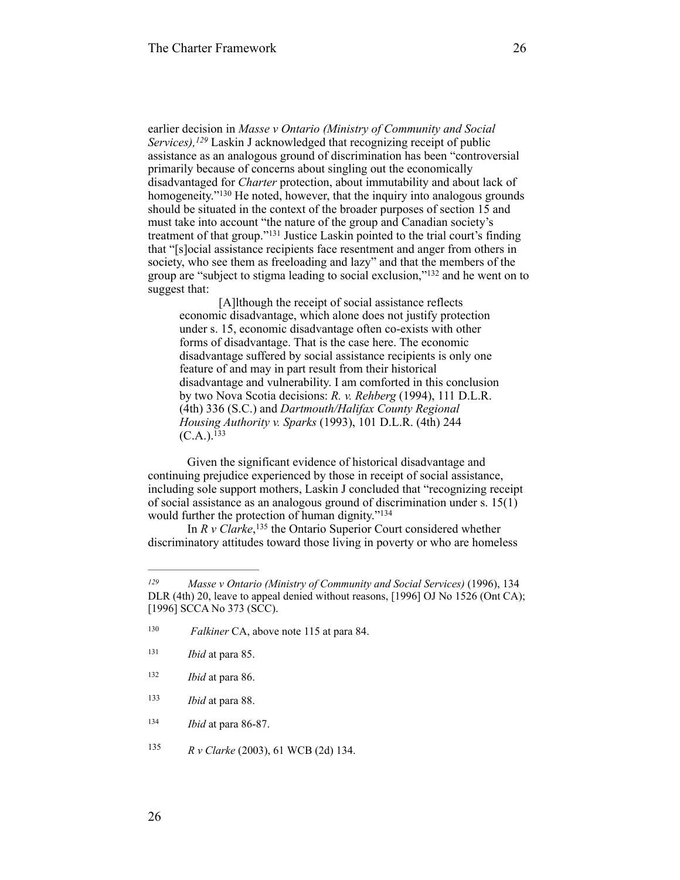earlier decision in *Masse v Ontario (Ministry of Community and Social Services),* <sup>129</sup> Laskin J acknowledged that recognizing receipt of public assistance as an analogous ground of discrimination has been "controversial primarily because of concerns about singling out the economically disadvantaged for *Charter* protection, about immutability and about lack of homogeneity."<sup>130</sup> He noted, however, that the inquiry into analogous grounds should be situated in the context of the broader purposes of section 15 and must take into account "the nature of the group and Canadian society's treatment of that group."<sup>131</sup> Justice Laskin pointed to the trial court's finding that "[s]ocial assistance recipients face resentment and anger from others in society, who see them as freeloading and lazy" and that the members of the group are "subject to stigma leading to social exclusion," $132$  and he went on to suggest that:

[A]lthough the receipt of social assistance reflects economic disadvantage, which alone does not justify protection under s. 15, economic disadvantage often co-exists with other forms of disadvantage. That is the case here. The economic disadvantage suffered by social assistance recipients is only one feature of and may in part result from their historical disadvantage and vulnerability. I am comforted in this conclusion by two Nova Scotia decisions: *R. v. Rehberg* (1994), 111 D.L.R. (4th) 336 (S.C.) and *Dartmouth/Halifax County Regional Housing Authority v. Sparks* (1993), 101 D.L.R. (4th) 244  $(C.A.)$ .  $133$ 

Given the significant evidence of historical disadvantage and continuing prejudice experienced by those in receipt of social assistance, including sole support mothers, Laskin J concluded that "recognizing receipt of social assistance as an analogous ground of discrimination under s. 15(1) would further the protection of human dignity."<sup>134</sup>

In  $R$  v Clarke,<sup>135</sup> the Ontario Superior Court considered whether discriminatory attitudes toward those living in poverty or who are homeless

*Masse v Ontario (Ministry of Community and Social Services)* (1996), 134 *<sup>129</sup>* DLR (4th) 20, leave to appeal denied without reasons, [1996] OJ No 1526 (Ont CA); [1996] SCCA No 373 (SCC).

<sup>&</sup>lt;sup>130</sup> *Falkiner* CA, above note 115 at para 84.

<sup>&</sup>lt;sup>131</sup> *Ibid* at para 85.

<sup>&</sup>lt;sup>132</sup> *Ibid* at para 86.

<sup>&</sup>lt;sup>133</sup> *Ibid* at para 88.

<sup>134</sup> *Ibid* at para 86-87.

<sup>135</sup> *R v Clarke* (2003), 61 WCB (2d) 134.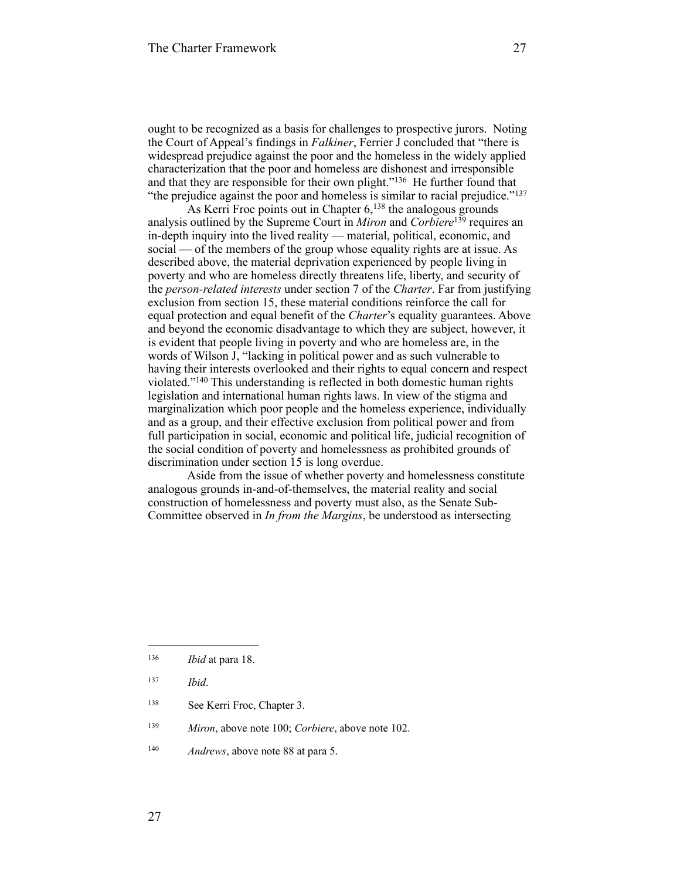ought to be recognized as a basis for challenges to prospective jurors. Noting the Court of Appeal's findings in *Falkiner*, Ferrier J concluded that "there is widespread prejudice against the poor and the homeless in the widely applied characterization that the poor and homeless are dishonest and irresponsible and that they are responsible for their own plight." $136$  He further found that "the prejudice against the poor and homeless is similar to racial prejudice."<sup>137</sup>

As Kerri Froc points out in Chapter  $6$ ,  $138$  the analogous grounds analysis outlined by the Supreme Court in *Miron* and *Corbiere*<sup>139</sup> requires an in-depth inquiry into the lived reality — material, political, economic, and social — of the members of the group whose equality rights are at issue. As described above, the material deprivation experienced by people living in poverty and who are homeless directly threatens life, liberty, and security of the *person-related interests* under section 7 of the *Charter*. Far from justifying exclusion from section 15, these material conditions reinforce the call for equal protection and equal benefit of the *Charter*'s equality guarantees. Above and beyond the economic disadvantage to which they are subject, however, it is evident that people living in poverty and who are homeless are, in the words of Wilson J, "lacking in political power and as such vulnerable to having their interests overlooked and their rights to equal concern and respect violated."<sup>140</sup> This understanding is reflected in both domestic human rights legislation and international human rights laws. In view of the stigma and marginalization which poor people and the homeless experience, individually and as a group, and their effective exclusion from political power and from full participation in social, economic and political life, judicial recognition of the social condition of poverty and homelessness as prohibited grounds of discrimination under section 15 is long overdue.

Aside from the issue of whether poverty and homelessness constitute analogous grounds in-and-of-themselves, the material reality and social construction of homelessness and poverty must also, as the Senate Sub-Committee observed in *In from the Margins*, be understood as intersecting

- 138 See Kerri Froc, Chapter 3.
- <sup>139</sup> *Miron*, above note 100; *Corbiere*, above note 102.
- <sup>140</sup> *Andrews*, above note 88 at para 5.

<sup>&</sup>lt;sup>136</sup> *Ibid* at para 18.

*Ibid*. <sup>137</sup>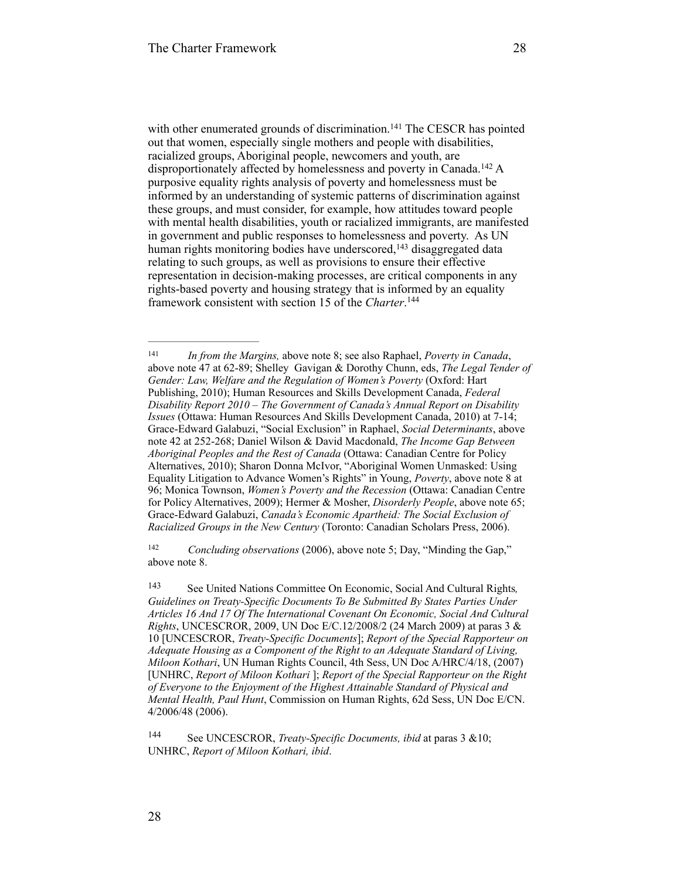with other enumerated grounds of discrimination.<sup>141</sup> The CESCR has pointed out that women, especially single mothers and people with disabilities, racialized groups, Aboriginal people, newcomers and youth, are disproportionately affected by homelessness and poverty in Canada.<sup>142</sup> A purposive equality rights analysis of poverty and homelessness must be informed by an understanding of systemic patterns of discrimination against these groups, and must consider, for example, how attitudes toward people with mental health disabilities, youth or racialized immigrants, are manifested in government and public responses to homelessness and poverty. As UN human rights monitoring bodies have underscored,  $143$  disaggregated data relating to such groups, as well as provisions to ensure their effective representation in decision-making processes, are critical components in any rights-based poverty and housing strategy that is informed by an equality framework consistent with section 15 of the *Charter*. 144

<sup>142</sup> *Concluding observations* (2006), above note 5; Day, "Minding the Gap," above note 8.

*In from the Margins,* above note 8; see also Raphael, *Poverty in Canada*, 141 above note 47 at 62-89; Shelley Gavigan & Dorothy Chunn, eds, *The Legal Tender of Gender: Law, Welfare and the Regulation of Women's Poverty* (Oxford: Hart Publishing, 2010); Human Resources and Skills Development Canada, *Federal Disability Report 2010 – The Government of Canada's Annual Report on Disability Issues* (Ottawa: Human Resources And Skills Development Canada, 2010) at 7-14; Grace-Edward Galabuzi, "Social Exclusion" in Raphael, *Social Determinants*, above note 42 at 252-268; Daniel Wilson & David Macdonald, *The Income Gap Between Aboriginal Peoples and the Rest of Canada* (Ottawa: Canadian Centre for Policy Alternatives, 2010); Sharon Donna McIvor, "Aboriginal Women Unmasked: Using Equality Litigation to Advance Women's Rights" in Young, *Poverty*, above note 8 at 96; Monica Townson, *Women's Poverty and the Recession* (Ottawa: Canadian Centre for Policy Alternatives, 2009); Hermer & Mosher, *Disorderly People*, above note 65; Grace-Edward Galabuzi, *Canada's Economic Apartheid: The Social Exclusion of Racialized Groups in the New Century* (Toronto: Canadian Scholars Press, 2006).

See United Nations Committee On Economic, Social And Cultural Rights*,* <sup>143</sup> *Guidelines on Treaty-Specific Documents To Be Submitted By States Parties Under Articles 16 And 17 Of The International Covenant On Economic, Social And Cultural Rights*, UNCESCROR, 2009, UN Doc E/C.12/2008/2 (24 March 2009) at paras 3 & 10 [UNCESCROR, *Treaty-Specific Documents*]; *Report of the Special Rapporteur on Adequate Housing as a Component of the Right to an Adequate Standard of Living, Miloon Kothari*, UN Human Rights Council, 4th Sess, UN Doc A/HRC/4/18, (2007) [UNHRC, *Report of Miloon Kothari* ]; *Report of the Special Rapporteur on the Right of Everyone to the Enjoyment of the Highest Attainable Standard of Physical and Mental Health, Paul Hunt*, Commission on Human Rights, 62d Sess, UN Doc E/CN. 4/2006/48 (2006).

See UNCESCROR, *Treaty-Specific Documents, ibid* at paras 3 &10; 144 UNHRC, *Report of Miloon Kothari, ibid*.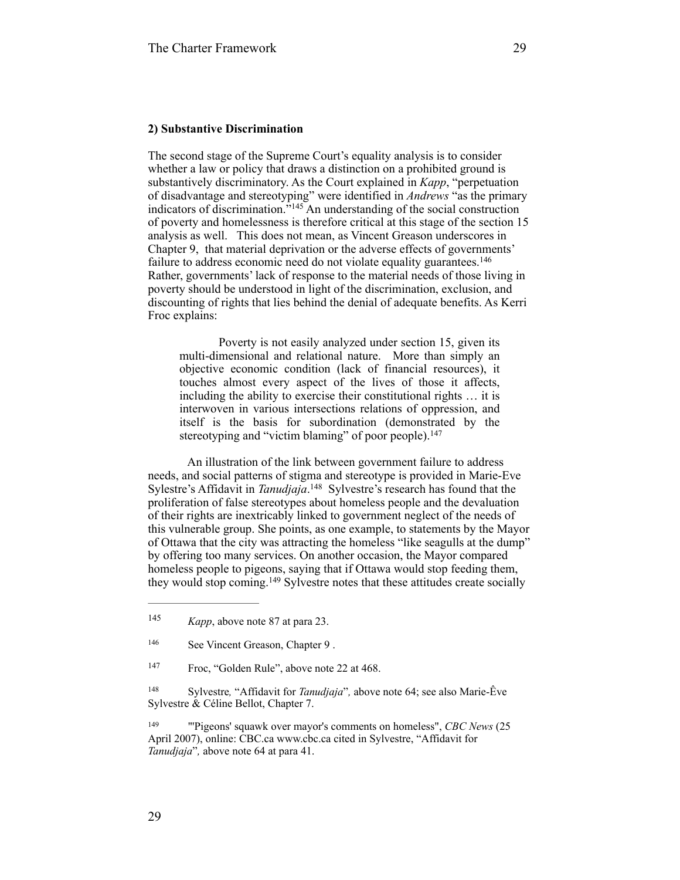#### **2) Substantive Discrimination**

The second stage of the Supreme Court's equality analysis is to consider whether a law or policy that draws a distinction on a prohibited ground is substantively discriminatory. As the Court explained in *Kapp*, "perpetuation of disadvantage and stereotyping" were identified in *Andrews* "as the primary indicators of discrimination." $145$  An understanding of the social construction of poverty and homelessness is therefore critical at this stage of the section 15 analysis as well. This does not mean, as Vincent Greason underscores in Chapter 9, that material deprivation or the adverse effects of governments' failure to address economic need do not violate equality guarantees. 146 Rather, governments' lack of response to the material needs of those living in poverty should be understood in light of the discrimination, exclusion, and discounting of rights that lies behind the denial of adequate benefits. As Kerri Froc explains:

Poverty is not easily analyzed under section 15, given its multi-dimensional and relational nature. More than simply an objective economic condition (lack of financial resources), it touches almost every aspect of the lives of those it affects, including the ability to exercise their constitutional rights … it is interwoven in various intersections relations of oppression, and itself is the basis for subordination (demonstrated by the stereotyping and "victim blaming" of poor people).<sup>147</sup>

An illustration of the link between government failure to address needs, and social patterns of stigma and stereotype is provided in Marie-Eve Sylestre's Affidavit in *Tanudjaja*.<sup>148</sup> Sylvestre's research has found that the proliferation of false stereotypes about homeless people and the devaluation of their rights are inextricably linked to government neglect of the needs of this vulnerable group. She points, as one example, to statements by the Mayor of Ottawa that the city was attracting the homeless "like seagulls at the dump" by offering too many services. On another occasion, the Mayor compared homeless people to pigeons, saying that if Ottawa would stop feeding them, they would stop coming.<sup>149</sup> Sylvestre notes that these attitudes create socially

<sup>&</sup>lt;sup>145</sup> *Kapp*, above note 87 at para 23.

<sup>146</sup> See Vincent Greason, Chapter 9.

<sup>&</sup>lt;sup>147</sup> Froc, "Golden Rule", above note 22 at 468.

<sup>&</sup>lt;sup>148</sup> Sylvestre, "Affidavit for *Tanudjaja*", above note 64; see also Marie-Êve Sylvestre & Céline Bellot, Chapter 7.

<sup>&</sup>lt;sup>149</sup> "Pigeons' squawk over mayor's comments on homeless", *CBC News* (25 April 2007), online: CBC.ca www.cbc.ca cited in Sylvestre, "Affidavit for *Tanudjaja*"*,* above note 64 at para 41.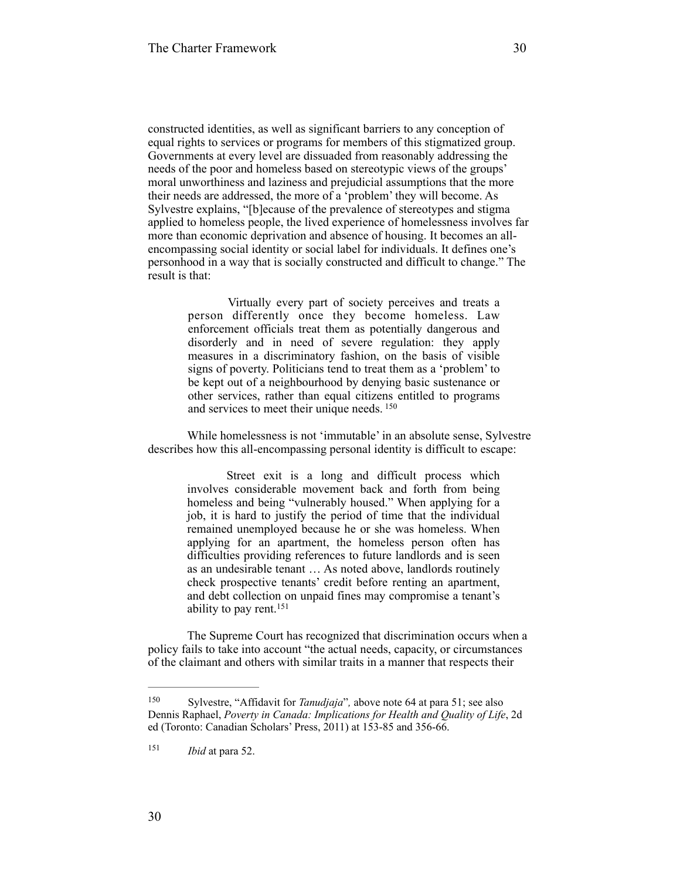constructed identities, as well as significant barriers to any conception of equal rights to services or programs for members of this stigmatized group. Governments at every level are dissuaded from reasonably addressing the needs of the poor and homeless based on stereotypic views of the groups' moral unworthiness and laziness and prejudicial assumptions that the more their needs are addressed, the more of a 'problem' they will become. As Sylvestre explains, "[b]ecause of the prevalence of stereotypes and stigma applied to homeless people, the lived experience of homelessness involves far more than economic deprivation and absence of housing. It becomes an allencompassing social identity or social label for individuals. It defines one's personhood in a way that is socially constructed and difficult to change." The result is that:

> Virtually every part of society perceives and treats a person differently once they become homeless. Law enforcement officials treat them as potentially dangerous and disorderly and in need of severe regulation: they apply measures in a discriminatory fashion, on the basis of visible signs of poverty. Politicians tend to treat them as a 'problem' to be kept out of a neighbourhood by denying basic sustenance or other services, rather than equal citizens entitled to programs and services to meet their unique needs. <sup>150</sup>

While homelessness is not 'immutable' in an absolute sense, Sylvestre describes how this all-encompassing personal identity is difficult to escape:

Street exit is a long and difficult process which involves considerable movement back and forth from being homeless and being "vulnerably housed." When applying for a job, it is hard to justify the period of time that the individual remained unemployed because he or she was homeless. When applying for an apartment, the homeless person often has difficulties providing references to future landlords and is seen as an undesirable tenant … As noted above, landlords routinely check prospective tenants' credit before renting an apartment, and debt collection on unpaid fines may compromise a tenant's ability to pay rent. 151

The Supreme Court has recognized that discrimination occurs when a policy fails to take into account "the actual needs, capacity, or circumstances of the claimant and others with similar traits in a manner that respects their

<sup>&</sup>lt;sup>150</sup> Sylvestre, "Affidavit for *Tanudjaja*", above note 64 at para 51; see also Dennis Raphael, *Poverty in Canada: Implications for Health and Quality of Life*, 2d ed (Toronto: Canadian Scholars' Press, 2011) at 153-85 and 356-66.

 $151$  *Ibid* at para 52.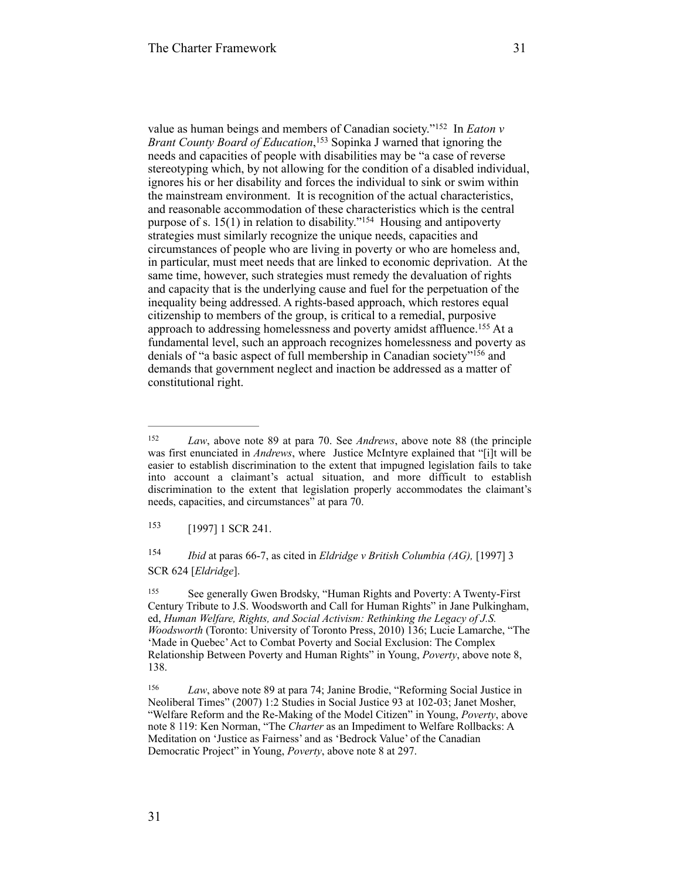value as human beings and members of Canadian society."<sup>152</sup> In *Eaton v Brant County Board of Education*, <sup>153</sup> Sopinka J warned that ignoring the needs and capacities of people with disabilities may be "a case of reverse stereotyping which, by not allowing for the condition of a disabled individual, ignores his or her disability and forces the individual to sink or swim within the mainstream environment. It is recognition of the actual characteristics, and reasonable accommodation of these characteristics which is the central purpose of s.  $15(1)$  in relation to disability."<sup>154</sup> Housing and antipoverty strategies must similarly recognize the unique needs, capacities and circumstances of people who are living in poverty or who are homeless and, in particular, must meet needs that are linked to economic deprivation. At the same time, however, such strategies must remedy the devaluation of rights and capacity that is the underlying cause and fuel for the perpetuation of the inequality being addressed. A rights-based approach, which restores equal citizenship to members of the group, is critical to a remedial, purposive approach to addressing homelessness and poverty amidst affluence.<sup>155</sup> At a fundamental level, such an approach recognizes homelessness and poverty as denials of "a basic aspect of full membership in Canadian society"<sup>156</sup> and demands that government neglect and inaction be addressed as a matter of constitutional right.

153 [1997] 1 SCR 241.

 *Ibid* at paras 66-7, as cited in *Eldridge v British Columbia (AG),* [1997] 3 154 SCR 624 [*Eldridge*].

<sup>155</sup> See generally Gwen Brodsky, "Human Rights and Poverty: A Twenty-First Century Tribute to J.S. Woodsworth and Call for Human Rights" in Jane Pulkingham, ed, *Human Welfare, Rights, and Social Activism: Rethinking the Legacy of J.S. Woodsworth* (Toronto: University of Toronto Press, 2010) 136; Lucie Lamarche, "The 'Made in Quebec' Act to Combat Poverty and Social Exclusion: The Complex Relationship Between Poverty and Human Rights" in Young, *Poverty*, above note 8, 138.

<sup>156</sup> *Law*, above note 89 at para 74; Janine Brodie, "Reforming Social Justice in Neoliberal Times" (2007) 1:2 Studies in Social Justice 93 at 102-03; Janet Mosher, "Welfare Reform and the Re-Making of the Model Citizen" in Young, *Poverty*, above note 8 119: Ken Norman, "The *Charter* as an Impediment to Welfare Rollbacks: A Meditation on 'Justice as Fairness' and as 'Bedrock Value' of the Canadian Democratic Project" in Young, *Poverty*, above note 8 at 297.

<sup>&</sup>lt;sup>152</sup> *Law*, above note 89 at para 70. See *Andrews*, above note 88 (the principle was first enunciated in *Andrews*, where Justice McIntyre explained that "[i]t will be easier to establish discrimination to the extent that impugned legislation fails to take into account a claimant's actual situation, and more difficult to establish discrimination to the extent that legislation properly accommodates the claimant's needs, capacities, and circumstances" at para 70.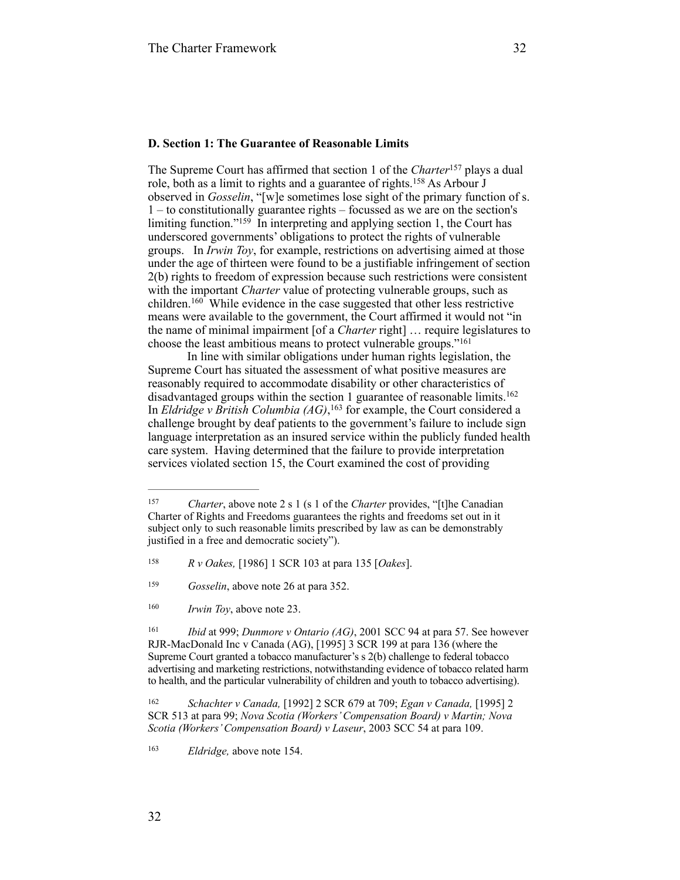#### **D. Section 1: The Guarantee of Reasonable Limits**

The Supreme Court has affirmed that section 1 of the *Charter*<sup>157</sup> plays a dual role, both as a limit to rights and a guarantee of rights.<sup>158</sup> As Arbour J observed in *Gosselin*, "[w]e sometimes lose sight of the primary function of s. 1 – to constitutionally guarantee rights – focussed as we are on the section's limiting function." $159$  In interpreting and applying section 1, the Court has underscored governments' obligations to protect the rights of vulnerable groups. In *Irwin Toy*, for example, restrictions on advertising aimed at those under the age of thirteen were found to be a justifiable infringement of section 2(b) rights to freedom of expression because such restrictions were consistent with the important *Charter* value of protecting vulnerable groups, such as children.  $160$  While evidence in the case suggested that other less restrictive means were available to the government, the Court affirmed it would not "in the name of minimal impairment [of a *Charter* right] … require legislatures to choose the least ambitious means to protect vulnerable groups." 161

In line with similar obligations under human rights legislation, the Supreme Court has situated the assessment of what positive measures are reasonably required to accommodate disability or other characteristics of disadvantaged groups within the section 1 guarantee of reasonable limits. 162 In *Eldridge v British Columbia (AG)*, <sup>163</sup> for example, the Court considered a challenge brought by deaf patients to the government's failure to include sign language interpretation as an insured service within the publicly funded health care system. Having determined that the failure to provide interpretation services violated section 15, the Court examined the cost of providing

*Ibid* at 999; *Dunmore v Ontario (AG)*, 2001 SCC 94 at para 57. See however RJR-MacDonald Inc v Canada (AG), [1995] 3 SCR 199 at para 136 (where the Supreme Court granted a tobacco manufacturer's s 2(b) challenge to federal tobacco advertising and marketing restrictions, notwithstanding evidence of tobacco related harm to health, and the particular vulnerability of children and youth to tobacco advertising).

<sup>&</sup>lt;sup>157</sup> *Charter*, above note 2 s 1 (s 1 of the *Charter* provides, "[t]he *Canadian* Charter of Rights and Freedoms guarantees the rights and freedoms set out in it subject only to such reasonable limits prescribed by law as can be demonstrably justified in a free and democratic society").

*R v Oakes,* [1986] 1 SCR 103 at para 135 [*Oakes*]. 158

<sup>&</sup>lt;sup>159</sup> *Gosselin*, above note 26 at para 352.

<sup>&</sup>lt;sup>160</sup> *Irwin Toy*, above note 23.

*Schachter v Canada,* [1992] 2 SCR 679 at 709; *Egan v Canada,* [1995] 2 162 SCR 513 at para 99; *Nova Scotia (Workers' Compensation Board) v Martin; Nova Scotia (Workers' Compensation Board) v Laseur*, 2003 SCC 54 at para 109.

<sup>&</sup>lt;sup>163</sup> *Eldridge*, above note 154.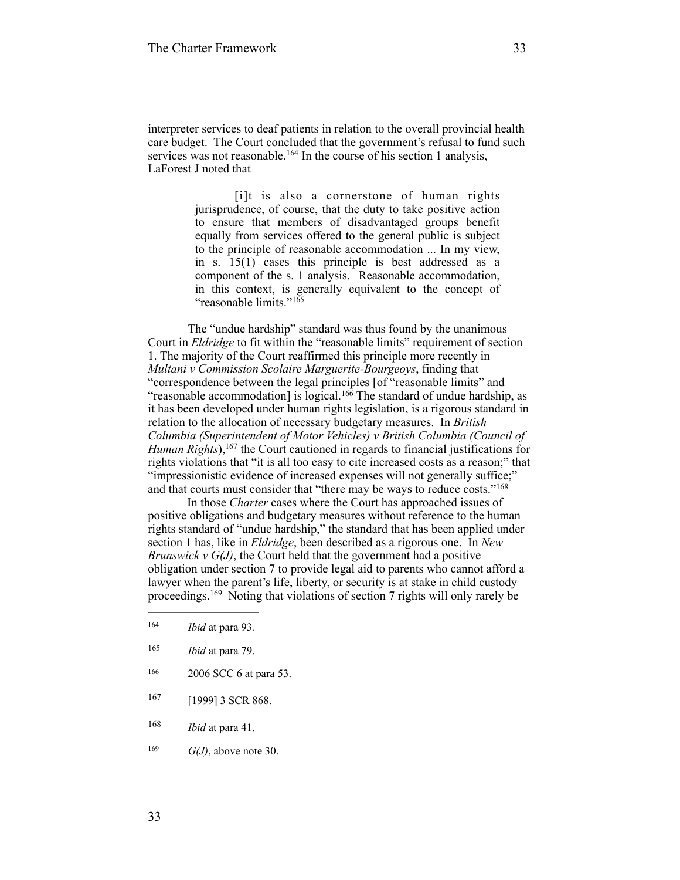interpreter services to deaf patients in relation to the overall provincial health care budget. The Court concluded that the government's refusal to fund such services was not reasonable.<sup>164</sup> In the course of his section 1 analysis, LaForest J noted that

> [i]t is also a cornerstone of human rights jurisprudence, of course, that the duty to take positive action to ensure that members of disadvantaged groups benefit equally from services offered to the general public is subject to the principle of reasonable accommodation ... In my view, in s. 15(1) cases this principle is best addressed as a component of the s. 1 analysis. Reasonable accommodation, in this context, is generally equivalent to the concept of "reasonable limits."<sup>165</sup>

 The "undue hardship" standard was thus found by the unanimous Court in *Eldridge* to fit within the "reasonable limits" requirement of section 1. The majority of the Court reaffirmed this principle more recently in *Multani v Commission Scolaire Marguerite-Bourgeoys*, finding that "correspondence between the legal principles [of "reasonable limits" and "reasonable accommodation] is logical.<sup>166</sup> The standard of undue hardship, as it has been developed under human rights legislation, is a rigorous standard in relation to the allocation of necessary budgetary measures. In *British Columbia (Superintendent of Motor Vehicles) v British Columbia (Council of Human Rights*), <sup>167</sup> the Court cautioned in regards to financial justifications for rights violations that "it is all too easy to cite increased costs as a reason;" that "impressionistic evidence of increased expenses will not generally suffice;" and that courts must consider that "there may be ways to reduce costs."168

In those *Charter* cases where the Court has approached issues of positive obligations and budgetary measures without reference to the human rights standard of "undue hardship," the standard that has been applied under section 1 has, like in *Eldridge*, been described as a rigorous one. In *New Brunswick v G(J)*, the Court held that the government had a positive obligation under section 7 to provide legal aid to parents who cannot afford a lawyer when the parent's life, liberty, or security is at stake in child custody proceedings.<sup>169</sup> Noting that violations of section 7 rights will only rarely be

- <sup>165</sup> *Ibid* at para 79.
- 166 2006 SCC 6 at para 53.
- 167 [1999] 3 SCR 868.
- <sup>168</sup> *Ibid* at para 41.
- <sup>169</sup>  $G(J)$ , above note 30.

*Ibid* at para 93*.* <sup>164</sup>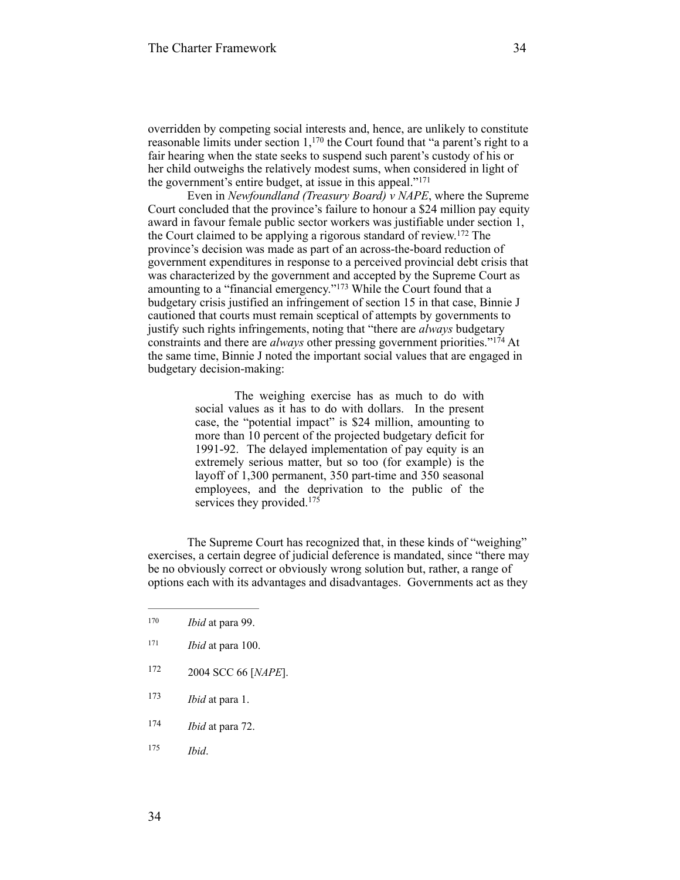overridden by competing social interests and, hence, are unlikely to constitute reasonable limits under section  $1<sub>1</sub>^{170}$  the Court found that "a parent's right to a fair hearing when the state seeks to suspend such parent's custody of his or her child outweighs the relatively modest sums, when considered in light of the government's entire budget, at issue in this appeal."<sup>171</sup>

Even in *Newfoundland (Treasury Board) v NAPE*, where the Supreme Court concluded that the province's failure to honour a \$24 million pay equity award in favour female public sector workers was justifiable under section 1, the Court claimed to be applying a rigorous standard of review.  $172$  The province's decision was made as part of an across-the-board reduction of government expenditures in response to a perceived provincial debt crisis that was characterized by the government and accepted by the Supreme Court as amounting to a "financial emergency."<sup>173</sup> While the Court found that a budgetary crisis justified an infringement of section 15 in that case, Binnie J cautioned that courts must remain sceptical of attempts by governments to justify such rights infringements, noting that "there are *always* budgetary constraints and there are *always* other pressing government priorities."<sup>174</sup> At the same time, Binnie J noted the important social values that are engaged in budgetary decision-making:

> The weighing exercise has as much to do with social values as it has to do with dollars. In the present case, the "potential impact" is \$24 million, amounting to more than 10 percent of the projected budgetary deficit for 1991-92. The delayed implementation of pay equity is an extremely serious matter, but so too (for example) is the layoff of 1,300 permanent, 350 part-time and 350 seasonal employees, and the deprivation to the public of the services they provided.<sup>175</sup>

The Supreme Court has recognized that, in these kinds of "weighing" exercises, a certain degree of judicial deference is mandated, since "there may be no obviously correct or obviously wrong solution but, rather, a range of options each with its advantages and disadvantages. Governments act as they

- 172 2004 SCC 66 [*NAPE*].
- <sup>173</sup> *Ibid* at para 1.
- <sup>174</sup> *Ibid* at para 72.
- *Ibid*. <sup>175</sup>

<sup>170</sup> *Ibid* at para 99.

 $171$  *Ibid* at para 100.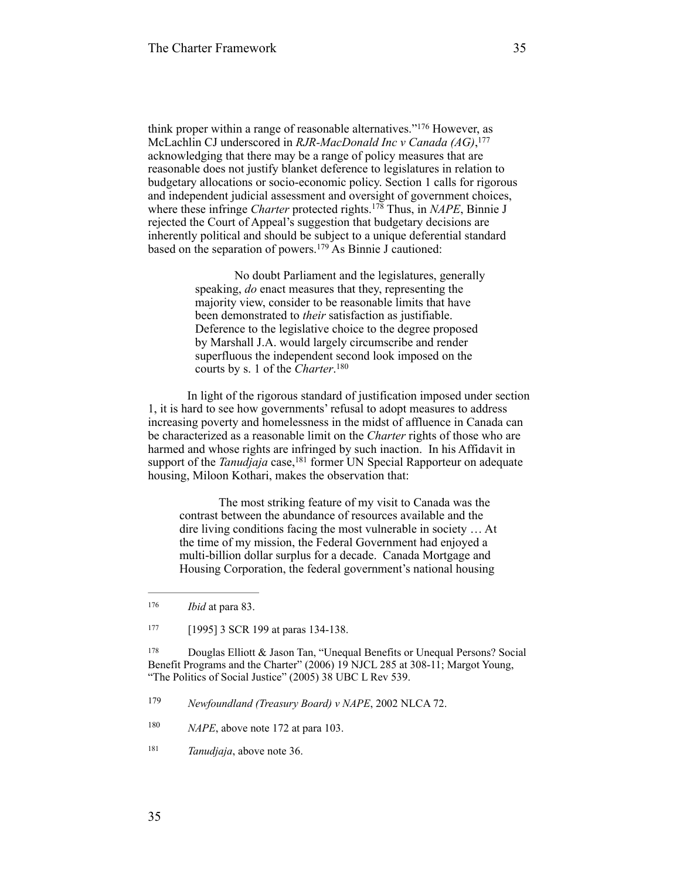think proper within a range of reasonable alternatives."<sup>176</sup> However, as McLachlin CJ underscored in *RJR-MacDonald Inc v Canada (AG)*, 177 acknowledging that there may be a range of policy measures that are reasonable does not justify blanket deference to legislatures in relation to budgetary allocations or socio-economic policy. Section 1 calls for rigorous and independent judicial assessment and oversight of government choices, where these infringe *Charter* protected rights.<sup>178</sup> Thus, in *NAPE*, Binnie J rejected the Court of Appeal's suggestion that budgetary decisions are inherently political and should be subject to a unique deferential standard based on the separation of powers.<sup>179</sup> As Binnie J cautioned:

> No doubt Parliament and the legislatures, generally speaking, *do* enact measures that they, representing the majority view, consider to be reasonable limits that have been demonstrated to *their* satisfaction as justifiable. Deference to the legislative choice to the degree proposed by Marshall J.A. would largely circumscribe and render superfluous the independent second look imposed on the courts by s. 1 of the *Charter*. 180

In light of the rigorous standard of justification imposed under section 1, it is hard to see how governments' refusal to adopt measures to address increasing poverty and homelessness in the midst of affluence in Canada can be characterized as a reasonable limit on the *Charter* rights of those who are harmed and whose rights are infringed by such inaction. In his Affidavit in support of the *Tanudjaja* case,<sup>181</sup> former UN Special Rapporteur on adequate housing, Miloon Kothari, makes the observation that:

The most striking feature of my visit to Canada was the contrast between the abundance of resources available and the dire living conditions facing the most vulnerable in society … At the time of my mission, the Federal Government had enjoyed a multi-billion dollar surplus for a decade. Canada Mortgage and Housing Corporation, the federal government's national housing

<sup>178</sup> Douglas Elliott & Jason Tan, "Unequal Benefits or Unequal Persons? Social Benefit Programs and the Charter" (2006) 19 NJCL 285 at 308-11; Margot Young, "The Politics of Social Justice" (2005) 38 UBC L Rev 539.

<sup>179</sup> Newfoundland (Treasury Board) v NAPE, 2002 NLCA 72.

<sup>176</sup> *Ibid* at para 83.

<sup>&</sup>lt;sup>177</sup> [1995] 3 SCR 199 at paras 134-138.

<sup>&</sup>lt;sup>180</sup> *NAPE*, above note 172 at para 103.

*Tanudjaja*, above note 36. <sup>181</sup>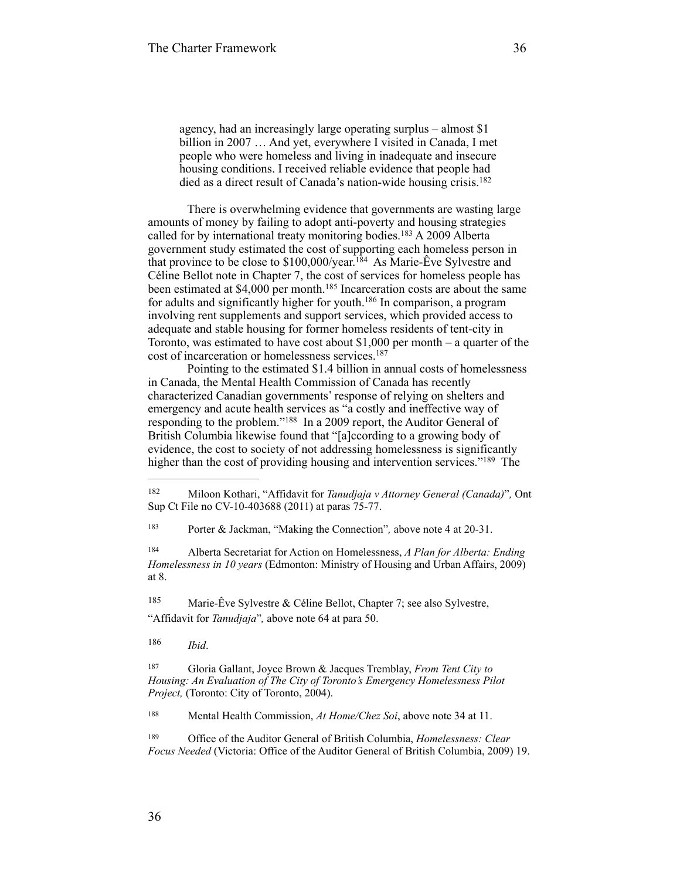agency, had an increasingly large operating surplus – almost \$1 billion in 2007 … And yet, everywhere I visited in Canada, I met people who were homeless and living in inadequate and insecure housing conditions. I received reliable evidence that people had died as a direct result of Canada's nation-wide housing crisis.<sup>182</sup>

There is overwhelming evidence that governments are wasting large amounts of money by failing to adopt anti-poverty and housing strategies called for by international treaty monitoring bodies.  $183$  A 2009 Alberta government study estimated the cost of supporting each homeless person in that province to be close to  $$100,000/year.<sup>184</sup>$  As Marie-Êve Sylvestre and Céline Bellot note in Chapter 7, the cost of services for homeless people has been estimated at \$4,000 per month.<sup>185</sup> Incarceration costs are about the same for adults and significantly higher for youth.<sup>186</sup> In comparison, a program involving rent supplements and support services, which provided access to adequate and stable housing for former homeless residents of tent-city in Toronto, was estimated to have cost about \$1,000 per month – a quarter of the cost of incarceration or homelessness services. 187

Pointing to the estimated \$1.4 billion in annual costs of homelessness in Canada, the Mental Health Commission of Canada has recently characterized Canadian governments' response of relying on shelters and emergency and acute health services as "a costly and ineffective way of responding to the problem."<sup>188</sup> In a 2009 report, the Auditor General of British Columbia likewise found that "[a]ccording to a growing body of evidence, the cost to society of not addressing homelessness is significantly higher than the cost of providing housing and intervention services."<sup>189</sup> The

<sup>183</sup> Porter & Jackman, "Making the Connection", above note 4 at 20-31.

 Alberta Secretariat for Action on Homelessness, *A Plan for Alberta: Ending* <sup>184</sup> *Homelessness in 10 years* (Edmonton: Ministry of Housing and Urban Affairs, 2009) at 8.

185 Marie-Êve Sylvestre & Céline Bellot, Chapter 7; see also Sylvestre, "Affidavit for *Tanudjaja*"*,* above note 64 at para 50.

*Ibid*. <sup>186</sup>

 Gloria Gallant, Joyce Brown & Jacques Tremblay, *From Tent City to* <sup>187</sup> *Housing: An Evaluation of The City of Toronto's Emergency Homelessness Pilot Project,* (Toronto: City of Toronto, 2004).

<sup>188</sup> Mental Health Commission, *At Home/Chez Soi*, above note 34 at 11.

 Office of the Auditor General of British Columbia, *Homelessness: Clear* <sup>189</sup> *Focus Needed* (Victoria: Office of the Auditor General of British Columbia, 2009) 19.

<sup>&</sup>lt;sup>182</sup> Miloon Kothari, "Affidavit for *Tanudjaja v Attorney General (Canada)*", Ont Sup Ct File no CV-10-403688 (2011) at paras 75-77.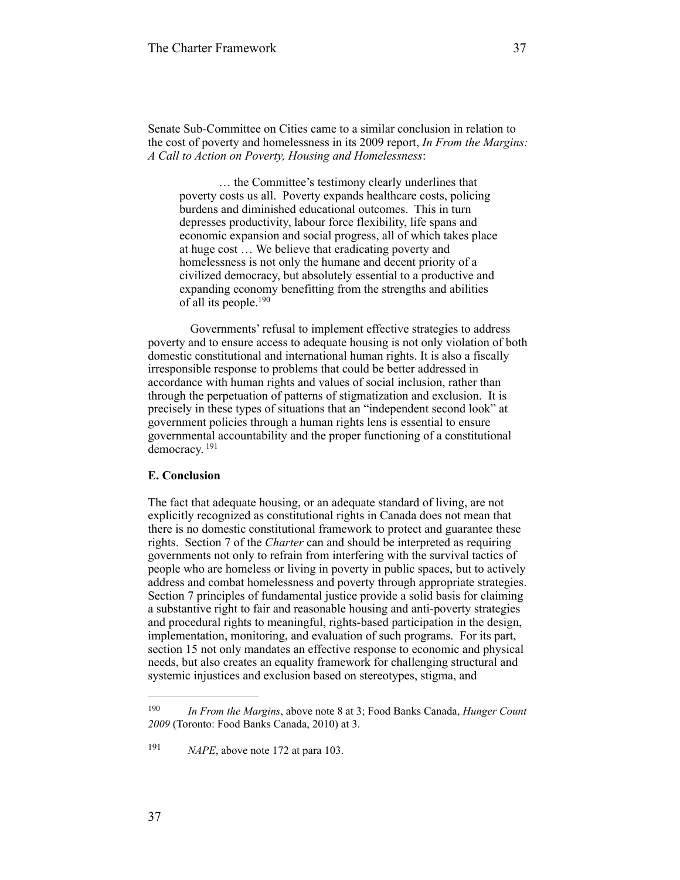Senate Sub-Committee on Cities came to a similar conclusion in relation to the cost of poverty and homelessness in its 2009 report, *In From the Margins: A Call to Action on Poverty, Housing and Homelessness*:

… the Committee's testimony clearly underlines that poverty costs us all. Poverty expands healthcare costs, policing burdens and diminished educational outcomes. This in turn depresses productivity, labour force flexibility, life spans and economic expansion and social progress, all of which takes place at huge cost … We believe that eradicating poverty and homelessness is not only the humane and decent priority of a civilized democracy, but absolutely essential to a productive and expanding economy benefitting from the strengths and abilities of all its people.190

 Governments' refusal to implement effective strategies to address poverty and to ensure access to adequate housing is not only violation of both domestic constitutional and international human rights. It is also a fiscally irresponsible response to problems that could be better addressed in accordance with human rights and values of social inclusion, rather than through the perpetuation of patterns of stigmatization and exclusion. It is precisely in these types of situations that an "independent second look" at government policies through a human rights lens is essential to ensure governmental accountability and the proper functioning of a constitutional democracy. <sup>191</sup>

## **E. Conclusion**

The fact that adequate housing, or an adequate standard of living, are not explicitly recognized as constitutional rights in Canada does not mean that there is no domestic constitutional framework to protect and guarantee these rights. Section 7 of the *Charter* can and should be interpreted as requiring governments not only to refrain from interfering with the survival tactics of people who are homeless or living in poverty in public spaces, but to actively address and combat homelessness and poverty through appropriate strategies. Section 7 principles of fundamental justice provide a solid basis for claiming a substantive right to fair and reasonable housing and anti-poverty strategies and procedural rights to meaningful, rights-based participation in the design, implementation, monitoring, and evaluation of such programs. For its part, section 15 not only mandates an effective response to economic and physical needs, but also creates an equality framework for challenging structural and systemic injustices and exclusion based on stereotypes, stigma, and

*In From the Margins*, above note 8 at 3; Food Banks Canada, *Hunger Count* <sup>190</sup> *2009* (Toronto: Food Banks Canada, 2010) at 3.

<sup>&</sup>lt;sup>191</sup> *NAPE*, above note 172 at para 103.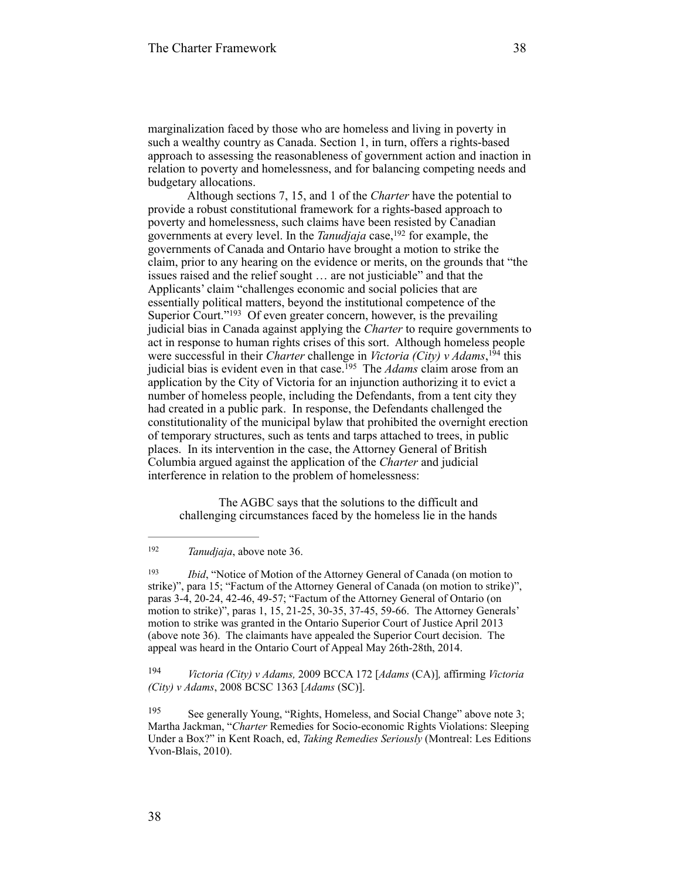marginalization faced by those who are homeless and living in poverty in such a wealthy country as Canada. Section 1, in turn, offers a rights-based approach to assessing the reasonableness of government action and inaction in relation to poverty and homelessness, and for balancing competing needs and budgetary allocations.

Although sections 7, 15, and 1 of the *Charter* have the potential to provide a robust constitutional framework for a rights-based approach to poverty and homelessness, such claims have been resisted by Canadian governments at every level. In the *Tanudjaja* case,<sup>192</sup> for example, the governments of Canada and Ontario have brought a motion to strike the claim, prior to any hearing on the evidence or merits, on the grounds that "the issues raised and the relief sought … are not justiciable" and that the Applicants' claim "challenges economic and social policies that are essentially political matters, beyond the institutional competence of the Superior Court." $193$  Of even greater concern, however, is the prevailing judicial bias in Canada against applying the *Charter* to require governments to act in response to human rights crises of this sort. Although homeless people were successful in their *Charter* challenge in *Victoria (City)* v Adams, <sup>194</sup> this judicial bias is evident even in that case.<sup>195</sup> The *Adams* claim arose from an application by the City of Victoria for an injunction authorizing it to evict a number of homeless people, including the Defendants, from a tent city they had created in a public park. In response, the Defendants challenged the constitutionality of the municipal bylaw that prohibited the overnight erection of temporary structures, such as tents and tarps attached to trees, in public places. In its intervention in the case, the Attorney General of British Columbia argued against the application of the *Charter* and judicial interference in relation to the problem of homelessness:

The AGBC says that the solutions to the difficult and challenging circumstances faced by the homeless lie in the hands

 *Victoria (City) v Adams,* 2009 BCCA 172 [*Adams* (CA)]*,* affirming *Victoria* <sup>194</sup> *(City) v Adams*, 2008 BCSC 1363 [*Adams* (SC)].

<sup>195</sup> See generally Young, "Rights, Homeless, and Social Change" above note 3; Martha Jackman, "*Charter* Remedies for Socio-economic Rights Violations: Sleeping Under a Box?" in Kent Roach, ed, *Taking Remedies Seriously* (Montreal: Les Editions Yvon-Blais, 2010).

*Tanudjaja*, above note 36. <sup>192</sup>

<sup>&</sup>lt;sup>193</sup> *Ibid*, "Notice of Motion of the Attorney General of Canada (on motion to strike)", para 15; "Factum of the Attorney General of Canada (on motion to strike)", paras 3-4, 20-24, 42-46, 49-57; "Factum of the Attorney General of Ontario (on motion to strike)", paras 1, 15, 21-25, 30-35, 37-45, 59-66. The Attorney Generals' motion to strike was granted in the Ontario Superior Court of Justice April 2013 (above note 36). The claimants have appealed the Superior Court decision. The appeal was heard in the Ontario Court of Appeal May 26th-28th, 2014.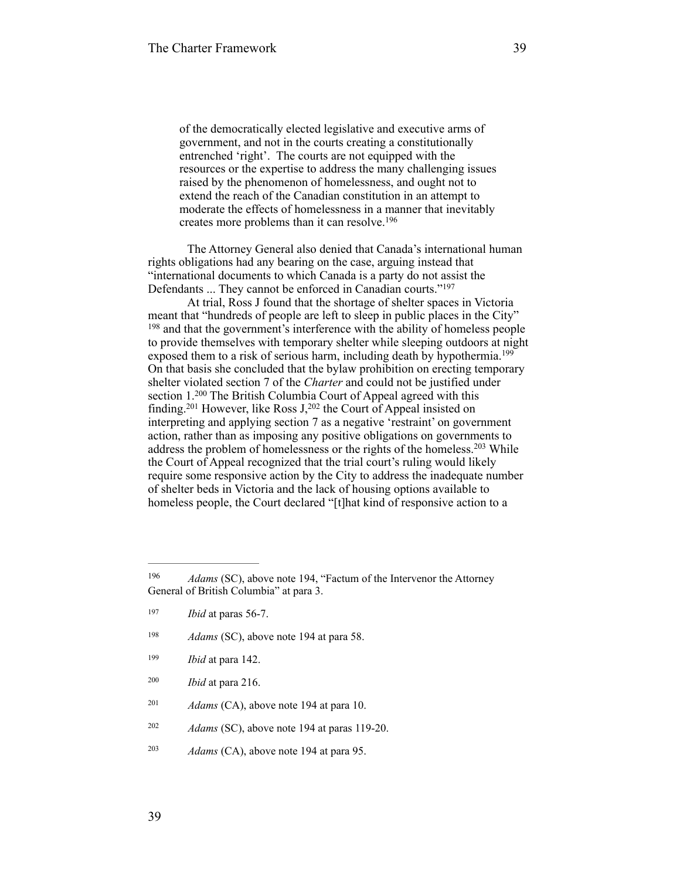of the democratically elected legislative and executive arms of government, and not in the courts creating a constitutionally entrenched 'right'. The courts are not equipped with the resources or the expertise to address the many challenging issues raised by the phenomenon of homelessness, and ought not to extend the reach of the Canadian constitution in an attempt to moderate the effects of homelessness in a manner that inevitably creates more problems than it can resolve.196

The Attorney General also denied that Canada's international human rights obligations had any bearing on the case, arguing instead that "international documents to which Canada is a party do not assist the Defendants ... They cannot be enforced in Canadian courts."197

At trial, Ross J found that the shortage of shelter spaces in Victoria meant that "hundreds of people are left to sleep in public places in the City" <sup>198</sup> and that the government's interference with the ability of homeless people to provide themselves with temporary shelter while sleeping outdoors at night exposed them to a risk of serious harm, including death by hypothermia.<sup>199</sup> On that basis she concluded that the bylaw prohibition on erecting temporary shelter violated section 7 of the *Charter* and could not be justified under section  $1.^{200}$  The British Columbia Court of Appeal agreed with this finding.<sup>201</sup> However, like Ross  $J<sub>z</sub><sup>202</sup>$  the Court of Appeal insisted on interpreting and applying section 7 as a negative 'restraint' on government action, rather than as imposing any positive obligations on governments to address the problem of homelessness or the rights of the homeless.<sup>203</sup> While the Court of Appeal recognized that the trial court's ruling would likely require some responsive action by the City to address the inadequate number of shelter beds in Victoria and the lack of housing options available to homeless people, the Court declared "[t]hat kind of responsive action to a

- <sup>198</sup> *Adams* (SC), above note 194 at para 58.
- <sup>199</sup> *Ibid* at para 142.
- <sup>200</sup> *Ibid* at para 216.
- <sup>201</sup> *Adams* (CA), above note 194 at para 10.
- $A$ *dams* (SC), above note 194 at paras 119-20.
- <sup>203</sup> *Adams* (CA), above note 194 at para 95.

<sup>&</sup>lt;sup>196</sup> *Adams* (SC), above note 194, "Factum of the Intervenor the Attorney General of British Columbia" at para 3.

<sup>197</sup> *Ibid* at paras 56-7.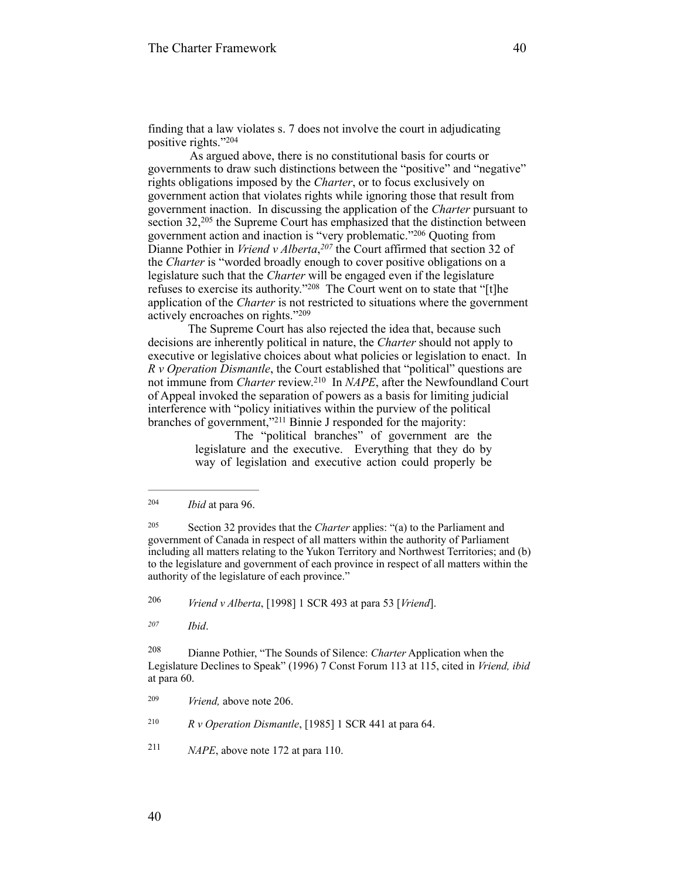finding that a law violates s. 7 does not involve the court in adjudicating positive rights."<sup>204</sup>

 As argued above, there is no constitutional basis for courts or governments to draw such distinctions between the "positive" and "negative" rights obligations imposed by the *Charter*, or to focus exclusively on government action that violates rights while ignoring those that result from government inaction. In discussing the application of the *Charter* pursuant to section  $32,^{205}$  the Supreme Court has emphasized that the distinction between government action and inaction is "very problematic."<sup>206</sup> Quoting from Dianne Pothier in *Vriend v Alberta*, <sup>207</sup> the Court affirmed that section 32 of the *Charter* is "worded broadly enough to cover positive obligations on a legislature such that the *Charter* will be engaged even if the legislature refuses to exercise its authority."<sup>208</sup> The Court went on to state that "[t]he application of the *Charter* is not restricted to situations where the government actively encroaches on rights."<sup>209</sup>

 The Supreme Court has also rejected the idea that, because such decisions are inherently political in nature, the *Charter* should not apply to executive or legislative choices about what policies or legislation to enact. In *R v Operation Dismantle*, the Court established that "political" questions are not immune from *Charter* review.<sup>210</sup> In *NAPE*, after the Newfoundland Court of Appeal invoked the separation of powers as a basis for limiting judicial interference with "policy initiatives within the purview of the political branches of government,"<sup>211</sup> Binnie J responded for the majority:

The "political branches" of government are the legislature and the executive. Everything that they do by way of legislation and executive action could properly be

<sup>205</sup> Section 32 provides that the *Charter* applies: "(a) to the Parliament and government of Canada in respect of all matters within the authority of Parliament including all matters relating to the Yukon Territory and Northwest Territories; and (b) to the legislature and government of each province in respect of all matters within the authority of the legislature of each province."

*Vriend v Alberta*, [1998] 1 SCR 493 at para 53 [*Vriend*]. <sup>206</sup>

*Ibid*. *<sup>207</sup>*

<sup>208</sup> Dianne Pothier, "The Sounds of Silence: *Charter* Application when the Legislature Declines to Speak" (1996) 7 Const Forum 113 at 115, cited in *Vriend, ibid* at para 60.

<sup>210</sup>  $R \, \nu$  *Operation Dismantle*, [1985] 1 SCR 441 at para 64.

<sup>211</sup> *NAPE*, above note 172 at para 110.

*Ibid* at para 96. <sup>204</sup>

<sup>&</sup>lt;sup>209</sup> *Vriend*, above note 206.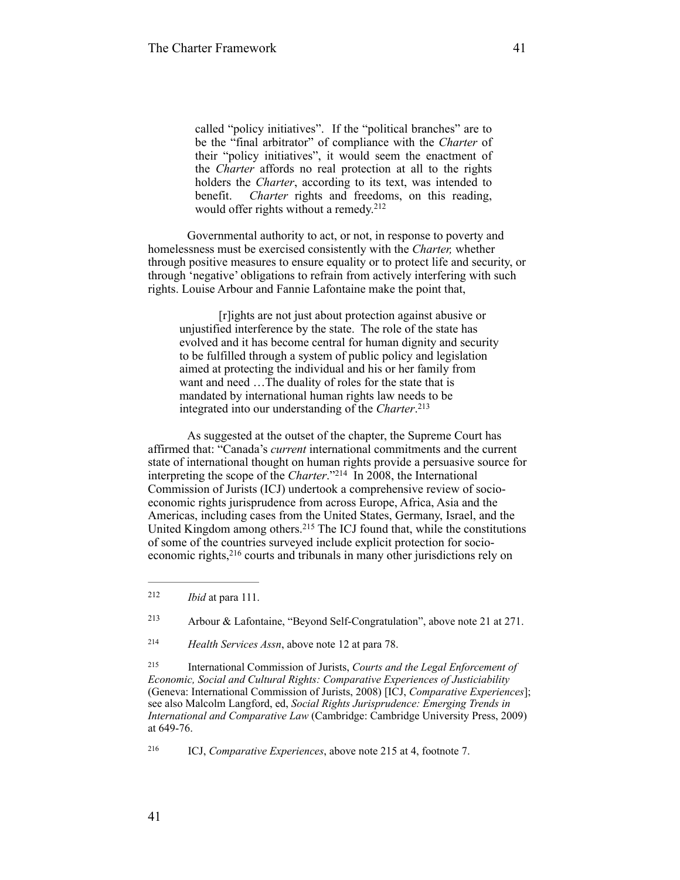called "policy initiatives". If the "political branches" are to be the "final arbitrator" of compliance with the *Charter* of their "policy initiatives", it would seem the enactment of the *Charter* affords no real protection at all to the rights holders the *Charter*, according to its text, was intended to benefit. *Charter* rights and freedoms, on this reading, would offer rights without a remedy.<sup>212</sup>

Governmental authority to act, or not, in response to poverty and homelessness must be exercised consistently with the *Charter,* whether through positive measures to ensure equality or to protect life and security, or through 'negative' obligations to refrain from actively interfering with such rights. Louise Arbour and Fannie Lafontaine make the point that,

[r]ights are not just about protection against abusive or unjustified interference by the state. The role of the state has evolved and it has become central for human dignity and security to be fulfilled through a system of public policy and legislation aimed at protecting the individual and his or her family from want and need …The duality of roles for the state that is mandated by international human rights law needs to be integrated into our understanding of the *Charter*. 213

As suggested at the outset of the chapter, the Supreme Court has affirmed that: "Canada's *current* international commitments and the current state of international thought on human rights provide a persuasive source for interpreting the scope of the *Charter*."<sup>214</sup> In 2008, the International Commission of Jurists (ICJ) undertook a comprehensive review of socioeconomic rights jurisprudence from across Europe, Africa, Asia and the Americas, including cases from the United States, Germany, Israel, and the United Kingdom among others.<sup>215</sup> The ICJ found that, while the constitutions of some of the countries surveyed include explicit protection for socioeconomic rights,<sup>216</sup> courts and tribunals in many other jurisdictions rely on

<sup>213</sup> Arbour & Lafontaine, "Beyond Self-Congratulation", above note 21 at 271.

*Health Services Assn*, above note 12 at para 78. <sup>214</sup>

 International Commission of Jurists, *Courts and the Legal Enforcement of* <sup>215</sup> *Economic, Social and Cultural Rights: Comparative Experiences of Justiciability* (Geneva: International Commission of Jurists, 2008) [ICJ, *Comparative Experiences*]; see also Malcolm Langford, ed, *Social Rights Jurisprudence: Emerging Trends in International and Comparative Law* (Cambridge: Cambridge University Press, 2009) at 649-76.

ICJ, *Comparative Experiences*, above note 215 at 4, footnote 7. <sup>216</sup>

*Ibid* at para 111. <sup>212</sup>